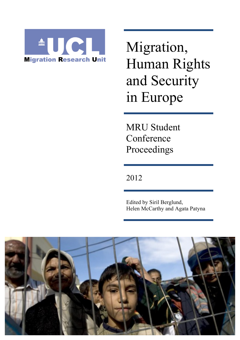

Migration, Human Rights and Security in Europe

MRU Student Conference Proceedings

2012

Edited by Siril Berglund, Helen McCarthy and Agata Patyna

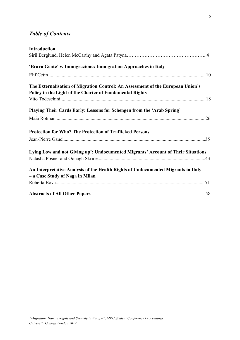# *Table of Contents*

| <b>Introduction</b>                                                                                                                         |  |
|---------------------------------------------------------------------------------------------------------------------------------------------|--|
|                                                                                                                                             |  |
| 'Brava Gente' v. Immigrazione: Immigration Approaches in Italy                                                                              |  |
|                                                                                                                                             |  |
| The Externalisation of Migration Control: An Assessment of the European Union's<br>Policy in the Light of the Charter of Fundamental Rights |  |
|                                                                                                                                             |  |
| Playing Their Cards Early: Lessons for Schengen from the 'Arab Spring'                                                                      |  |
|                                                                                                                                             |  |
| <b>Protection for Who? The Protection of Trafficked Persons</b>                                                                             |  |
|                                                                                                                                             |  |
| Lying Low and not Giving up': Undocumented Migrants' Account of Their Situations                                                            |  |
| An Interpretative Analysis of the Health Rights of Undocumented Migrants in Italy<br>- a Case Study of Naga in Milan                        |  |
|                                                                                                                                             |  |
|                                                                                                                                             |  |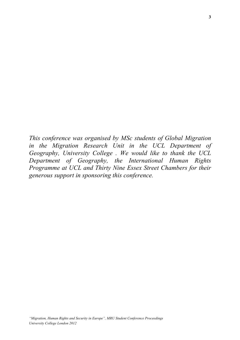*This conference was organised by MSc students of Global Migration in the Migration Research Unit in the UCL Department of Geography, University College . We would like to thank the UCL Department of Geography, the International Human Rights Programme at UCL and Thirty Nine Essex Street Chambers for their generous support in sponsoring this conference.*

**3**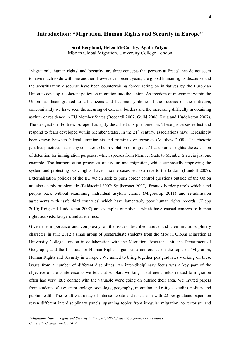# **Introduction: "Migration, Human Rights and Security in Europe"**

**Siril Berglund, Helen McCarthy, Agata Patyna** MSc in Global Migration, University College London

'Migration', 'human rights' and 'security' are three concepts that perhaps at first glance do not seem to have much to do with one another. However, in recent years, the global human rights discourse and the securitization discourse have been countervailing forces acting on initiatives by the European Union to develop a coherent policy on migration into the Union. As freedom of movement within the Union has been granted to all citizens and become symbolic of the success of the initiative, concomitantly we have seen the securing of external borders and the increasing difficulty in obtaining asylum or residence in EU Member States (Boccardi 2007; Guild 2006; Roig and Huddleston 2007). The designation 'Fortress Europe' has aptly described this phenomenon. These processes reflect and respond to fears developed within Member States. In the 21<sup>st</sup> century, associations have increasingly been drawn between 'illegal' immigrants and criminals or terrorists (Matthew 2008). The rhetoric justifies practices that many consider to be in violation of migrants' basic human rights: the extension of detention for immigration purposes, which spreads from Member State to Member State, is just one example. The harmonisation processes of asylum and migration, whilst supposedly improving the system and protecting basic rights, have in some cases led to a race to the bottom (Handoll 2007). Externalisation policies of the EU which seek to push border control questions outside of the Union are also deeply problematic (Baldaccini 2007; Spijkerboer 2007). Frontex border patrols which send people back without examining individual asylum claims (Migreurop 2011) and re-admission agreements with 'safe third countries' which have lamentably poor human rights records (Klepp 2010; Roig and Huddleston 2007) are examples of policies which have caused concern to human rights activists, lawyers and academics.

Given the importance and complexity of the issues described above and their multidisciplinary character, in June 2012 a small group of postgraduate students from the MSc in Global Migration at University College London in collaboration with the Migration Research Unit, the Department of Geography and the Institute for Human Rights organised a conference on the topic of 'Migration, Human Rights and Security in Europe'. We aimed to bring together postgraduates working on these issues from a number of different disciplines. An inter-disciplinary focus was a key part of the objective of the conference as we felt that scholars working in different fields related to migration often had very little contact with the valuable work going on outside their area. We invited papers from students of law, anthropology, sociology, geography, migration and refugee studies, politics and public health. The result was a day of intense debate and discussion with 22 postgraduate papers on seven different interdisciplinary panels, spanning topics from irregular migration, to terrorism and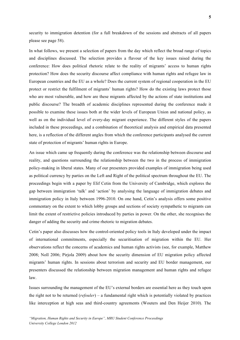security to immigration detention (for a full breakdown of the sessions and abstracts of all papers please see page 58).

In what follows, we present a selection of papers from the day which reflect the broad range of topics and disciplines discussed. The selection provides a flavour of the key issues raised during the conference: How does political rhetoric relate to the reality of migrants' access to human rights protection? How does the security discourse affect compliance with human rights and refugee law in European countries and the EU as a whole? Does the current system of regional cooperation in the EU protect or restrict the fulfilment of migrants' human rights? How do the existing laws protect those who are most vulnerable, and how are these migrants affected by the actions of state institutions and public discourse? The breadth of academic disciplines represented during the conference made it possible to examine these issues both at the wider levels of European Union and national policy, as well as on the individual level of every-day migrant experience. The different styles of the papers included in these proceedings, and a combination of theoretical analysis and empirical data presented here, is a reflection of the different angles from which the conference participants analysed the current state of protection of migrants' human rights in Europe.

An issue which came up frequently during the conference was the relationship between discourse and reality, and questions surrounding the relationship between the two in the process of immigration policy-making in liberal states. Many of our presenters provided examples of immigration being used as political currency by parties on the Left and Right of the political spectrum throughout the EU. The proceedings begin with a paper by Elif Cetin from the University of Cambridge, which explores the gap between immigration 'talk' and 'action' by analysing the language of immigration debates and immigration policy in Italy between 1996-2010. On one hand, Cetin's analysis offers some positive commentary on the extent to which lobby groups and sections of society sympathetic to migrants can limit the extent of restrictive policies introduced by parties in power. On the other, she recognises the danger of adding the security and crime rhetoric to migration debates.

Cetin's paper also discusses how the control-oriented policy tools in Italy developed under the impact of international commitments, especially the securitisation of migration within the EU. Her observations reflect the concerns of academics and human rights activists (see, for example, Matthew 2008; Noll 2006; Pirjola 2009) about how the security dimension of EU migration policy affected migrants' human rights. In sessions about terrorism and security and EU border management, our presenters discussed the relationship between migration management and human rights and refugee law.

Issues surrounding the management of the EU's external borders are essential here as they touch upon the right not to be returned (*refouler*) – a fundamental right which is potentially violated by practices like interception at high seas and third-country agreements (Wouters and Den Heijer 2010). The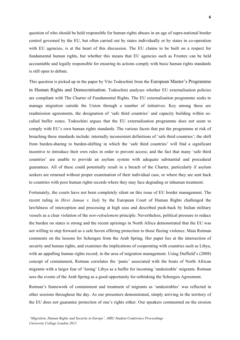**6**

question of who should be held responsible for human rights abuses in an age of supra-national border control governed by the EU, but often carried out by states individually or by states in co-operation with EU agencies, is at the heart of this discussion. The EU claims to be built on a respect for fundamental human rights, but whether this means that EU agencies such as Frontex can be held accountable and legally responsible for ensuring its actions comply with basic human rights standards is still open to debate.

This question is picked up in the paper by Vito Todeschini from the European Master's Programme in Human Rights and Democratisation. Todeschini analyses whether EU externalisation policies are compliant with The Charter of Fundamental Rights. The EU externalisation programme seeks to manage migration outside the Union through a number of initiatives. Key among these are readmission agreements, the designation of 'safe third countries' and capacity building within socalled buffer zones. Todeschini argues that the EU externalisation programme does not seem to comply with EU's own human rights standards. The various facets that put the programme at risk of breaching these standards include: internally inconsistent definitions of 'safe third countries'; the shift from burden-sharing to burden-shifting in which the 'safe third countries' will find a significant incentive to introduce their own rules in order to prevent access; and the fact that many 'safe third countries' are unable to provide an asylum system with adequate substantial and procedural guarantees. All of these could potentially result in a breach of the Charter, particularly if asylum seekers are returned without proper examination of their individual case, or where they are sent back to countries with poor human rights records where they may face degrading or inhuman treatment.

Fortunately, the courts have not been completely silent on this issue of EU border management. The recent ruling in *Hirsi Jamaa v. Italy* by the European Court of Human Rights challenged the lawfulness of interception and processing at high seas and described push-back by Italian military vessels as a clear violation of the *non-refoulement* principle. Nevertheless, political pressure to reduce the burden on states is strong and the recent uprisings in North Africa demonstrated that the EU was not willing to step forward as a safe haven offering protection to those fleeing violence. Maia Rotman comments on the lessons for Schengen from the Arab Spring. Her paper lies at the intersection of security and human rights, and examines the implications of cooperating with countries such as Libya, with an appalling human rights record, in the area of migration management. Using Duffield's (2008) concept of containment, Rotman correlates the 'panic' associated with the boats of North African migrants with a larger fear of 'losing' Libya as a buffer for incoming 'undesirable' migrants. Rotman sees the events of the Arab Spring as a good opportunity for rethinking the Schengen Agreement.

Rotman's framework of containment and treatment of migrants as 'undesirables' was reflected in other sessions throughout the day. As our presenters demonstrated, simply arriving in the territory of the EU does not guarantee protection of one's rights either. Our speakers commented on the erosion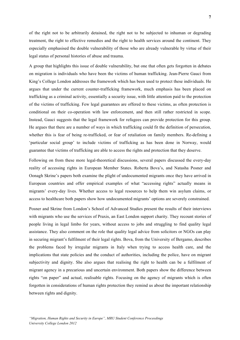of the right not to be arbitrarily detained, the right not to be subjected to inhuman or degrading treatment, the right to effective remedies and the right to health services around the continent. They especially emphasised the double vulnerability of those who are already vulnerable by virtue of their legal status of personal histories of abuse and trauma.

A group that highlights this issue of double vulnerability, but one that often gets forgotten in debates on migration is individuals who have been the victims of human trafficking. Jean-Pierre Gauci from King's College London addresses the framework which has been used to protect these individuals. He argues that under the current counter-trafficking framework, much emphasis has been placed on trafficking as a criminal activity, essentially a security issue, with little attention paid to the protection of the victims of trafficking. Few legal guarantees are offered to these victims, as often protection is conditional on their co-operation with law enforcement, and then still rather restricted in scope. Instead, Gauci suggests that the legal framework for refugees can provide protection for this group. He argues that there are a number of ways in which trafficking could fit the definition of persecution, whether this is fear of being re-trafficked, or fear of retaliation on family members. Re-defining a 'particular social group' to include victims of trafficking as has been done in Norway, would guarantee that victims of trafficking are able to access the rights and protection that they deserve.

Following on from these more legal-theoretical discussions, several papers discussed the every-day reality of accessing rights in European Member States. Roberta Bova's, and Natasha Posner and Oonagh Skrine's papers both examine the plight of undocumented migrants once they have arrived in European countries and offer empirical examples of what "accessing rights" actually means in migrants' every-day lives. Whether access to legal resources to help them win asylum claims, or access to healthcare both papers show how undocumented migrants' options are severely constrained.

Posner and Skrine from London's School of Advanced Studies present the results of their interviews with migrants who use the services of Praxis, an East London support charity. They recount stories of people living in legal limbo for years, without access to jobs and struggling to find quality legal assistance. They also comment on the role that quality legal advice from solicitors or NGOs can play in securing migrant's fulfilment of their legal rights. Bova, from the University of Bergamo, describes the problems faced by irregular migrants in Italy when trying to access health care, and the implications that state policies and the conduct of authorities, including the police, have on migrant subjectivity and dignity. She also argues that realising the right to health can be a fulfilment of migrant agency in a precarious and uncertain environment. Both papers show the difference between rights "on paper" and actual, realisable rights. Focusing on the agency of migrants which is often forgotten in considerations of human rights protection they remind us about the important relationship between rights and dignity.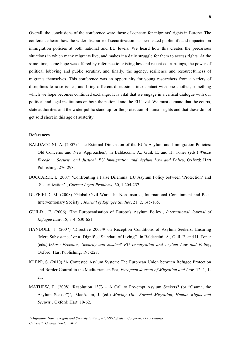Overall, the conclusions of the conference were those of concern for migrants' rights in Europe. The conference heard how the wider discourse of securitization has permeated public life and impacted on immigration policies at both national and EU levels. We heard how this creates the precarious situations in which many migrants live, and makes it a daily struggle for them to access rights. At the same time, some hope was offered by reference to existing law and recent court rulings, the power of political lobbying and public scrutiny, and finally, the agency, resilience and resourcefulness of migrants themselves. This conference was an opportunity for young researchers from a variety of disciplines to raise issues, and bring different discussions into contact with one another, something which we hope becomes continued exchange. It is vital that we engage in a critical dialogue with our political and legal institutions on both the national and the EU level. We must demand that the courts, state authorities and the wider public stand up for the protection of human rights and that these do not get sold short in this age of austerity.

#### **References**

- BALDACCINI, A. (2007) 'The External Dimension of the EU's Asylum and Immigration Policies: Old Concerns and New Approaches', in Baldaccini, A., Guil, E. and H. Toner (eds.) *Whose Freedom, Security and Justice? EU Immigration and Asylum Law and Policy*, Oxford: Hart Publishing, 276-298.
- BOCCARDI, I. (2007) 'Confronting a False Dilemma: EU Asylum Policy between 'Protection' and 'Securitization'', *Current Legal Problems*, 60, 1 204-237.
- DUFFIELD, M. (2008) 'Global Civil War: The Non-Insured, International Containment and Post-Interventionary Society', *Journal of Refugee Studies*, 21, 2, 145-165.
- GUILD , E. (2006) 'The Europeanisation of Europe's Asylum Policy', *International Journal of Refugee Law*, 18, 3-4, 630-651.
- HANDOLL, J. (2007) 'Directive 2003/9 on Reception Conditions of Asylum Seekers: Ensuring 'Mere Subsistance' or a 'Dignified Standard of Living'', in Baldaccini, A., Guil, E. and H. Toner (eds.) *Whose Freedom, Security and Justice? EU Immigration and Asylum Law and Policy*, Oxford: Hart Publishing, 195-228.
- KLEPP, S. (2010) 'A Contested Asylum System: The European Union between Refugee Protection and Border Control in the Mediterranean Sea, *European Journal of Migration and Law,* 12, 1, 1- 21*.*
- MATHEW, P. (2008) 'Resolution 1373 A Call to Pre-empt Asylum Seekers? (or "Osama, the Asylum Seeker")', MacAdam, J. (ed.) *Moving On: Forced Migration, Human Rights and Security*, Oxford: Hart, 19-62.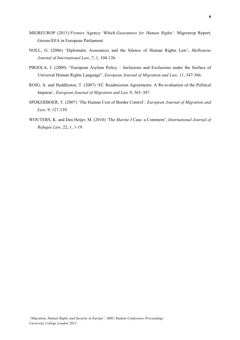- MIGREUROP (2011)'*Frontex* Agency: Which *Guarantees for Human Rights',* Migreurop Report, Greens/EFA in European Parliament.
- NOLL, G. (2006) 'Diplomatic Assurances and the Silence of Human Rights Law', *Melbourne Journal of International Law*, 7, 1, 104-126.
- PIRJOLA, J. (2009). "European Asylum Policy Inclusions and Exclusions under the Surface of Universal Human Rights Language", *European Journal of Migration and Law*, 11, 347-366.
- ROIG, A. and Huddleston, T. (2007) 'EC Readmission Agreements: A Re-evaluation of the Political Impasse', *European Journal of Migration and Law* 9, 363–387.
- SPIJKERBOER, T*.* (2007) 'The Human Cost of Border Control'*, European Journal of Migration and Law,* 9, 127-139.
- WOUTERS, K. and Den Heijer, M. (2010) 'The *Marine I* Case: a Comment', *International Journal of Refugee Law*, 22, 1, 1-19.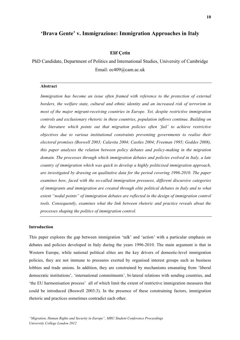## **'Brava Gente' v. Immigrazione: Immigration Approaches in Italy**

#### **Elif Çetin**

PhD Candidate, Department of Politics and International Studies, University of Cambridge Email: ec409@cam.ac.uk

#### **Abstract**

*Immigration has become an issue often framed with reference to the protection of external borders, the welfare state, cultural and ethnic identity and an increased risk of terrorism in most of the major migrant-receiving countries in Europe. Yet, despite restrictive immigration controls and exclusionary rhetoric in these countries, population inflows continue. Building on the literature which points out that migration policies often 'fail' to achieve restrictive objectives due to various institutional constraints preventing governments to realise their electoral promises (Boswell 2003; Calavita 2004; Castles 2004; Freeman 1995; Geddes 2008), this paper analyses the relation between policy debates and policy-making in the migration domain. The processes through which immigration debates and policies evolved in Italy, a late country of immigration which was quick to develop a highly politicised immigration approach, are investigated by drawing on qualitative data for the period covering 1996-2010. The paper examines how, faced with the so-called immigration pressures, different discursive categories of immigrants and immigration are created through elite political debates in Italy and to what extent "nodal points" of immigration debates are reflected in the design of immigration control tools. Consequently, examines what the link between rhetoric and practice reveals about the processes shaping the politics of immigration control.*

#### **Introduction**

This paper explores the gap between immigration 'talk' and 'action' with a particular emphasis on debates and policies developed in Italy during the years 1996-2010. The main argument is that in Western Europe, while national political elites are the key drivers of domestic-level immigration policies, they are not immune to pressures exerted by organised interest groups such as business lobbies and trade unions. In addition, they are constrained by mechanisms emanating from 'liberal democratic institutions', 'international commitments', bi-lateral relations with sending countries, and 'the EU harmonisation process' all of which limit the extent of restrictive immigration measures that could be introduced (Boswell 2003:3). In the presence of these constraining factors, immigration rhetoric and practices sometimes contradict each other.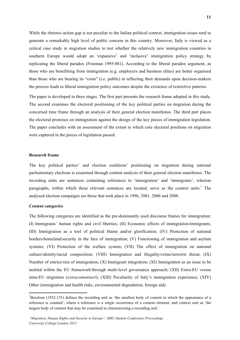While the rhetoric-action gap is not peculiar to the Italian political context, immigration issues tend to generate a remarkably high level of public concern in this country. Moreover, Italy is viewed as a critical case study in migration studies to test whether the relatively new immigration countries in southern Europe would adopt an 'expansive' and 'inclusive' immigration policy strategy by replicating the liberal paradox (Freeman 1995:881). According to the liberal paradox argument, as those who are benefitting from immigration (e.g. employers and business elites) are better organised than those who are bearing its "costs" (i.e. public) in reflecting their demands upon decision-makers the process leads to liberal immigration policy outcomes despite the existence of restrictive patterns.

The paper is developed in three stages. The first part presents the research frame adopted in this study. The second examines the electoral positioning of the key political parties on migration during the concerned time frame through an analysis of their general election manifestos. The third part places the electoral promises on immigration against the design of the key pieces of immigration legislation. The paper concludes with an assessment of the extent to which core electoral positions on migration were captured in the pieces of legislation passed.

#### **Research frame**

The key political parties' and election coalitions' positioning on migration during national parliamentary elections is examined through content analysis of their general election manifestos. The recording units are sentences containing references to 'immigration' and 'immigrants', whereas paragraphs, within which these relevant sentences are located, serve as the context units.<sup>1</sup> The analysed election campaigns are those that took place in 1996, 2001, 2006 and 2008.

#### *Content categories*

 

The following categories are identified as the pre-dominantly used discourse frames for immigration: (I) Immigrants' human rights and civil liberties; (II) Economic effects of immigration/immigrants; (III) Immigration as a tool of political blame and/or glorification; (IV) Protection of national borders/homeland/security in the face of immigration; (V) Functioning of immigration and asylum systems; (VI) Protection of the welfare system; (VII) The effect of immigration on national culture/identity/racial composition; (VIII) Immigration and illegality/crime/terrorist threat; (IX) Number of entries/size of immigration; (X) Immigrant integration; (XI) Immigration as an issue to be tackled within the EU framework/through multi-level governance approach; (XII) Extra-EU versus intra-EU migration (*extracomunitari*); (XIII) Peculiarity of Italy's immigration experience; (XIV) Other (immigration and health risks, environmental degradation, foreign aid).

<sup>&</sup>lt;sup>1</sup>Berelson (1952:135) defines the recording unit as 'the smallest body of content in which the appearance of a reference is counted', where a reference is a single occurrence of a content element, and context unit as 'the largest body of content that may be examined in characterizing a recording unit'.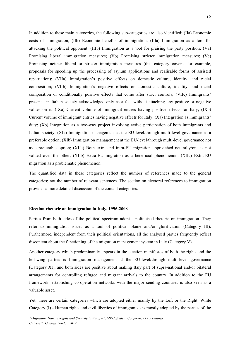In addition to these main categories, the following sub-categories are also identified: (IIa) Economic costs of immigration; (IIb) Economic benefits of immigration; (IIIa) Immigration as a tool for attacking the political opponent; (IIIb) Immigration as a tool for praising the party position; (Va) Promising liberal immigration measures; (Vb) Promising stricter immigration measures; (Vc) Promising neither liberal or stricter immigration measures (this category covers, for example, proposals for speeding up the processing of asylum applications and realisable forms of assisted repatriation); (VIIa) Immigration's positive effects on domestic culture, identity, and racial composition; (VIIb) Immigration's negative effects on domestic culture, identity, and racial composition or conditionally positive effects that come after strict controls; (VIIc) Immigrants' presence in Italian society acknowledged only as a fact without attaching any positive or negative values on it; (IXa) Current volume of immigrant entries having positive effects for Italy; (IXb) Current volume of immigrant entries having negative effects for Italy; (Xa) Integration as immigrants' duty; (Xb) Integration as a two-way project involving active participation of both immigrants and Italian society; (XIa) Immigration management at the EU-level/through multi-level governance as a preferable option; (XIb) Immigration management at the EU-level/through multi-level governance not as a preferable option; (XIIa) Both extra and intra-EU migration approached neutrally/one is not valued over the other; (XIIb) Extra-EU migration as a beneficial phenomenon; (XIIc) Extra-EU migration as a problematic phenomenon.

The quantified data in these categories reflect the number of references made to the general categories; not the number of relevant sentences. The section on electoral references to immigration provides a more detailed discussion of the content categories.

#### **Election rhetoric on immigration in Italy, 1996-2008**

Parties from both sides of the political spectrum adopt a politicised rhetoric on immigration. They refer to immigration issues as a tool of political blame and/or glorification (Category III). Furthermore, independent from their political orientations, all the analysed parties frequently reflect discontent about the functioning of the migration management system in Italy (Category V).

Another category which predominantly appears in the election manifestos of both the right- and the left-wing parties is Immigration management at the EU-level/through multi-level governance (Category XI), and both sides are positive about making Italy part of supra-national and/or bilateral arrangements for controlling refugee and migrant arrivals to the country. In addition to the EU framework, establishing co-operation networks with the major sending countries is also seen as a valuable asset.

Yet, there are certain categories which are adopted either mainly by the Left or the Right. While Category (I) - Human rights and civil liberties of immigrants - is mostly adopted by the parties of the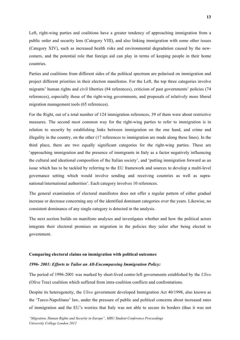Left, right-wing parties and coalitions have a greater tendency of approaching immigration from a public order and security lens (Category VIII), and also linking immigration with some other issues (Category XIV), such as increased health risks and environmental degradation caused by the newcomers, and the potential role that foreign aid can play in terms of keeping people in their home countries.

Parties and coalitions from different sides of the political spectrum are polarised on immigration and project different priorities in their election manifestos. For the Left, the top three categories involve migrants' human rights and civil liberties (84 references), criticism of past governments' policies (74 references), especially those of the right-wing governments, and proposals of relatively more liberal migration management tools (65 references).

For the Right, out of a total number of 124 immigration references, 39 of them were about restrictive measures. The second most common way for the right-wing parties to refer to immigration is in relation to security by establishing links between immigration on the one hand, and crime and illegality in the country, on the other (17 references to immigration are made along these lines). In the third place, there are two equally significant categories for the right-wing parties. These are 'approaching immigration and the presence of immigrants in Italy as a factor negatively influencing the cultural and ideational composition of the Italian society', and 'putting immigration forward as an issue which has to be tackled by referring to the EU framework and sources to develop a multi-level governance setting which would involve sending and receiving countries as well as supranational/international authorities'. Each category involves 10 references.

The general examination of electoral manifestos does not offer a regular pattern of either gradual increase or decrease concerning any of the identified dominant categories over the years. Likewise, no consistent dominance of any single category is detected in the analysis.

The next section builds on manifesto analyses and investigates whether and how the political actors integrate their electoral promises on migration in the policies they tailor after being elected to government.

## **Comparing electoral claims on immigration with political outcomes**

## *1996- 2001: Efforts to Tailor an All-Encompassing Immigration Policy:*

The period of 1996-2001 was marked by short-lived centre-left governments established by the *Ulivo* (Olive Tree) coalition which suffered from intra-coalition conflicts and confrontations.

Despite its heterogeneity, the *Ulivo* government developed Immigration Act 40/1998, also known as the 'Turco-Napolitano' law, under the pressure of public and political concerns about increased rates of immigration and the EU's worries that Italy was not able to secure its borders (thus it was not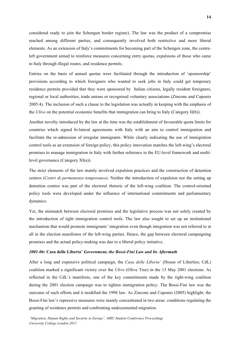considered ready to join the Schengen border regime). The law was the product of a compromise reached among different parties, and consequently involved both restrictive and more liberal elements. As an extension of Italy's commitments for becoming part of the Schengen zone, the centreleft government aimed to reinforce measures concerning entry quotas, expulsions of those who came to Italy through illegal routes, and residence permits.

Entries on the basis of annual quotas were facilitated through the introduction of 'sponsorship' provisions according to which foreigners who wanted to seek jobs in Italy could get temporary residence permits provided that they were sponsored by Italian citizens, legally resident foreigners, regional or local authorities, trade unions or recognised voluntary associations (Zincone and Caponio 2005:4). The inclusion of such a clause to the legislation was actually in keeping with the emphasis of the *Ulivo* on the potential economic benefits that immigration can bring to Italy (Category II(b)).

Another novelty introduced by the law at the time was the establishment of favourable quota limits for countries which signed bi-lateral agreements with Italy with an aim to control immigration and facilitate the re-admission of irregular immigrants. While clearly indicating the use of immigration control tools as an extension of foreign policy, this policy innovation matches the left-wing's electoral promises to manage immigration in Italy with further reference to the EU-level framework and multilevel governance (Category XI(a)).

The strict elements of the law mainly involved expulsion practices and the construction of detention centres (*Centri di permenenza temporaneo)*. Neither the introduction of expulsion nor the setting up detention centres was part of the electoral rhetoric of the left-wing coalition. The control-oriented policy tools were developed under the influence of international commitments and parliamentary dynamics.

Yet, the mismatch between electoral promises and the legislative process was not solely created by the introduction of tight immigration control tools. The law also sought to set up an institutional mechanism that would promote immigrants' integration even though integration was not referred to at all in the election manifestos of the left-wing parties. Hence, the gap between electoral campaigning promises and the actual policy-making was due to a liberal policy initiative.

#### *2001-06:* **Casa delle Liberta'** *Government, the Bossi-Fini Law and Its Aftermath*

After a long and expensive political campaign, the *Casa delle Liberta'* (House of Liberties; CdL) coalition marked a significant victory over the *Ulivo* (Olive Tree) in the 13 May 2001 elections. As reflected in the CdL's manifesto, one of the key commitments made by the right-wing coalition during the 2001 election campaign was to tighten immigration policy. The Bossi-Fini law was the outcome of such efforts and it modified the 1998 law. As Zincone and Caponio (2005) highlight, the Bossi-Fini law's repressive measures were mainly concentrated in two areas: conditions regulating the granting of residence permits and confronting undocumented migration.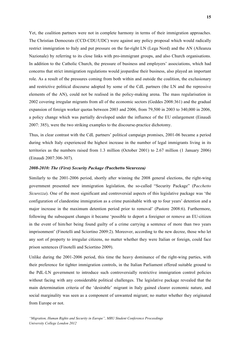Yet, the coalition partners were not in complete harmony in terms of their immigration approaches. The Christian Democrats (CCD-CDU/UDC) were against any policy proposal which would radically restrict immigration to Italy and put pressure on the far-right LN (Lega Nord) and the AN (Alleanza Nazionale) by referring to its close links with pro-immigrant groups, and also Church organisations. In addition to the Catholic Church, the pressure of business and employers' associations, which had concerns that strict immigration regulations would jeopardise their business, also played an important role. As a result of the pressures coming from both within and outside the coalition, the exclusionary and restrictive political discourse adopted by some of the CdL partners (the LN and the repressive elements of the AN), could not be realised in the policy-making arena. The mass regularisation in 2002 covering irregular migrants from all of the economic sectors (Geddes 2008:361) and the gradual expansion of foreign worker quotas between 2003 and 2006, from 79,500 in 2003 to 340,000 in 2006, a policy change which was partially developed under the influence of the EU enlargement (Einaudi 2007: 385), were the two striking examples to the discourse-practice dichotomy.

Thus, in clear contrast with the CdL partners' political campaign promises, 2001-06 became a period during which Italy experienced the highest increase in the number of legal immigrants living in its territories as the numbers raised from 1.3 million (October 2001) to 2.67 million (1 January 2006) (Einaudi 2007:306-307).

## *2008-2010: The (First) Security Package (***Pacchetto Sicurezza***)*

Similarly to the 2001-2006 period, shortly after winning the 2008 general elections, the right-wing government presented new immigration legislation, the so-called "Security Package" (P*acchetto Sicurezza*). One of the most significant and controversial aspects of this legislative package was 'the configuration of clandestine immigration as a crime punishable with up to four years' detention and a major increase in the maximum detention period prior to removal' (Pastore 2008:6). Furthermore, following the subsequent changes it became 'possible to deport a foreigner or remove an EU-citizen in the event of him/her being found guilty of a crime carrying a sentence of more than two years imprisonment' (Finotelli and Sciortino 2009:2). Moreover, according to the new decree, those who let any sort of property to irregular citizens, no matter whether they were Italian or foreign, could face prison sentences (Finotelli and Sciortino 2009).

Unlike during the 2001-2006 period, this time the heavy dominance of the right-wing parties, with their preference for tighter immigration controls, in the Italian Parliament offered suitable ground to the PdL-LN government to introduce such controversially restrictive immigration control policies without facing with any considerable political challenges. The legislative package revealed that the main determination criteria of the 'desirable' migrant in Italy gained clearer economic nature, and social marginality was seen as a component of unwanted migrant; no matter whether they originated from Europe or not.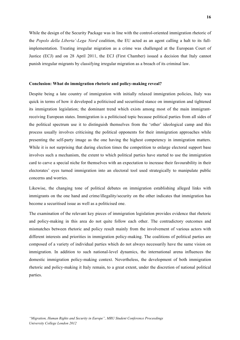While the design of the Security Package was in line with the control-oriented immigration rhetoric of the *Popolo della Liberta'-Lega Nord* coalition, the EU acted as an agent calling a halt to its fullimplementation. Treating irregular migration as a crime was challenged at the European Court of Justice (ECJ) and on 28 April 2011, the ECJ (First Chamber) issued a decision that Italy cannot punish irregular migrants by classifying irregular migration as a breach of its criminal law.

#### **Conclusion: What do immigration rhetoric and policy-making reveal?**

Despite being a late country of immigration with initially relaxed immigration policies, Italy was quick in terms of how it developed a politicised and securitised stance on immigration and tightened its immigration legislation; the dominant trend which exists among most of the main immigrantreceiving European states. Immigration is a politicised topic because political parties from all sides of the political spectrum use it to distinguish themselves from the 'other' ideological camp and this process usually involves criticising the political opponents for their immigration approaches while presenting the self-party image as the one having the highest competency in immigration matters. While it is not surprising that during election times the competition to enlarge electoral support base involves such a mechanism, the extent to which political parties have started to use the immigration card to carve a special niche for themselves with an expectation to increase their favourability in their electorates' eyes turned immigration into an electoral tool used strategically to manipulate public concerns and worries.

Likewise, the changing tone of political debates on immigration establishing alleged links with immigrants on the one hand and crime/illegality/security on the other indicates that immigration has become a securitised issue as well as a politicised one.

The examination of the relevant key pieces of immigration legislation provides evidence that rhetoric and policy-making in this area do not quite follow each other. The contradictory outcomes and mismatches between rhetoric and policy result mainly from the involvement of various actors with different interests and priorities in immigration policy-making. The coalitions of political parties are composed of a variety of individual parties which do not always necessarily have the same vision on immigration. In addition to such national-level dynamics, the international arena influences the domestic immigration policy-making context. Nevertheless, the development of both immigration rhetoric and policy-making it Italy remain, to a great extent, under the discretion of national political parties.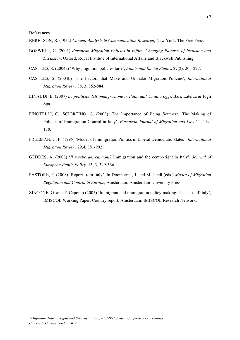BERELSON, B. (1952) *Content Analysis in Communication Research*, New York: The Free Press.

- BOSWELL, C. (2003) *European Migration Policies in Influx: Changing Patterns of Inclusion and Exclusion*. Oxford: Royal Institute of International Affairs and Blackwell Publishing.
- CASTLES, S. (2004a) 'Why migration policies fail?', *Ethnic and Racial Studies* 27(2), 205-227.
- CASTLES, S. (2004b) 'The Factors that Make and Unmake Migration Policies', *International Migration Review*, 38, 3, 852-884.
- EINAUDI, L. (2007) *Le politiche dell'immigrazione in Italia dall'Unita a oggi*, Bari: Laterza & Figli Spa.
- FINOTELLI, C., SCIORTINO, G. (2009) 'The Importance of Being Southern: The Making of Policies of Immigration Control in Italy', *European Journal of Migration and Law* 11: 119- 138.
- FREEMAN, G. P. (1995) 'Modes of Immigration Politics in Liberal Democratic States', *International Migration Review*, 29,4, 881-902.
- GEDDES, A. (2008) '*Il rombo dei cannoni*? Immigration and the centre-right in Italy', *Journal of European Public Policy,* 15, 3, 349-366.
- PASTORE, F. (2008) 'Report from Italy', In Doomernik, J. and M. Jandl (eds.) *Modes of Migration Regulation and Control in Europe*, Amsterdam: Amsterdam University Press.
- ZINCONE, G. and T. Caponio (2005) 'Immigrant and immigration policy-making: The case of Italy', IMISCOE Working Paper: Country report, Amsterdam: IMISCOE Research Network.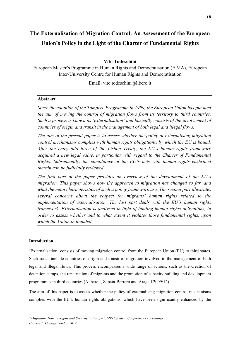# **The Externalisation of Migration Control: An Assessment of the European Union's Policy in the Light of the Charter of Fundamental Rights**

## **Vito Todeschini**

European Master's Programme in Human Rights and Democratisation (E.MA), European Inter-University Centre for Human Rights and Democratisation

Email: vito.todeschini@libero.it

## **Abstract**

*Since the adoption of the Tampere Programme in 1999, the European Union has pursued the aim of moving the control of migration flows from its territory to third countries. Such a process is known as 'externalisation' and basically consists of the involvement of countries of origin and transit in the management of both legal and illegal flows.* 

*The aim of the present paper is to assess whether the policy of externalising migration control mechanisms complies with human rights obligations, by which the EU is bound. After the entry into force of the Lisbon Treaty, the EU's human rights framework acquired a new legal value, in particular with regard to the Charter of Fundamental Rights. Subsequently, the compliance of the EU's acts with human rights enshrined therein can be judicially reviewed.*

*The first part of the paper provides an overview of the development of the EU's migration. This paper shows how the approach to migration has changed so far, and what the main characteristics of such a policy framework are. The second part illustrates several concerns about the respect for migrants' human rights related to the implementation of externalisation. The last part deals with the EU's human rights framework. Externalisation is analysed in light of binding human rights obligations, in order to assess whether and to what extent it violates those fundamental rights, upon which the Union in founded.*

## **Introduction**

'Externalisation' consists of moving migration control from the European Union (EU) to third states. Such states include countries of origin and transit of migration involved in the management of both legal and illegal flows. This process encompasses a wide range of actions, such as the creation of detention camps, the repatriation of migrants and the promotion of capacity building and development programmes in third countries (Aubarell, Zapata-Barrero and Aragall 2009:12).

The aim of this paper is to assess whether the policy of externalising migration control mechanisms complies with the EU's human rights obligations, which have been significantly enhanced by the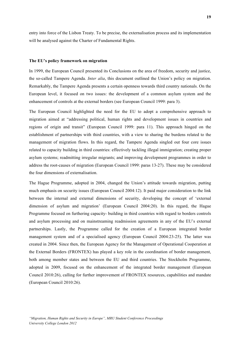entry into force of the Lisbon Treaty. To be precise, the externalisation process and its implementation will be analysed against the Charter of Fundamental Rights.

#### **The EU's policy framework on migration**

In 1999, the European Council presented its Conclusions on the area of freedom, security and justice, the so-called Tampere Agenda. *Inter alia*, this document outlined the Union's policy on migration. Remarkably, the Tampere Agenda presents a certain openness towards third country nationals. On the European level, it focused on two issues: the development of a common asylum system and the enhancement of controls at the external borders (see European Council 1999: para 3).

The European Council highlighted the need for the EU to adopt a comprehensive approach to migration aimed at "addressing political, human rights and development issues in countries and regions of origin and transit" (European Council 1999: para 11). This approach hinged on the establishment of partnerships with third countries, with a view to sharing the burdens related to the management of migration flows. In this regard, the Tampere Agenda singled out four core issues related to capacity building in third countries: effectively tackling illegal immigration; creating proper asylum systems; readmitting irregular migrants; and improving development programmes in order to address the root-causes of migration (European Council 1999: paras 13-27). These may be considered the four dimensions of externalisation.

The Hague Programme, adopted in 2004, changed the Union's attitude towards migration, putting much emphasis on security issues (European Council 2004:12). It paid major consideration to the link between the internal and external dimensions of security, developing the concept of 'external dimension of asylum and migration' (European Council 2004:20). In this regard, the Hague Programme focused on furthering capacity- building in third countries with regard to borders controls and asylum processing and on mainstreaming readmission agreements in any of the EU's external partnerships. Lastly, the Programme called for the creation of a European integrated border management system and of a specialised agency (European Council 2004:23-25). The latter was created in 2004. Since then, the European Agency for the Management of Operational Cooperation at the External Borders (FRONTEX) has played a key role in the coordination of border management, both among member states and between the EU and third countries. The Stockholm Programme, adopted in 2009, focused on the enhancement of the integrated border management (European Council 2010:26), calling for further improvement of FRONTEX resources, capabilities and mandate (European Council 2010:26).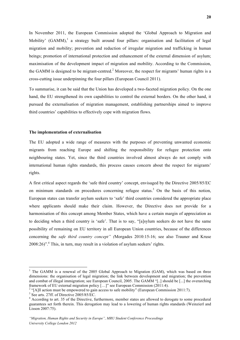In November 2011, the European Commission adopted the 'Global Approach to Migration and Mobility' (GAMM),<sup>1</sup> a strategy built around four pillars: organisation and facilitation of legal migration and mobility; prevention and reduction of irregular migration and trafficking in human beings; promotion of international protection and enhancement of the external dimension of asylum; maximisation of the development impact of migration and mobility. According to the Commission, the GAMM is designed to be migrant-centred.<sup>2</sup> Moreover, the respect for migrants' human rights is a cross-cutting issue underpinning the four pillars (European Council 2011).

To summarise, it can be said that the Union has developed a two-faceted migration policy. On the one hand, the EU strengthened its own capabilities to control the external borders. On the other hand, it pursued the externalisation of migration management, establishing partnerships aimed to improve third countries' capabilities to effectively cope with migration flows.

#### **The implementation of externalisation**

The EU adopted a wide range of measures with the purposes of preventing unwanted economic migrants from reaching Europe and shifting the responsibility for refugee protection onto neighbouring states. Yet, since the third countries involved almost always do not comply with international human rights standards, this process causes concern about the respect for migrants' rights.

A first critical aspect regards the 'safe third country' concept, envisaged by the Directive 2005/85/EC on minimum standards on procedures concerning refugee status.<sup>3</sup> On the basis of this notion, European states can transfer asylum seekers to 'safe' third countries considered the appropriate place where applicants should make their claim. However, the Directive does not provide for a harmonisation of this concept among Member States, which have a certain margin of appreciation as to deciding when a third country is 'safe'. That is to say, "[a]sylum seekers do not have the same possibility of remaining on EU territory in all European Union countries, because of the differences concerning the *safe third country concept" (*Morgades 2010:15-16; see also Trauner and Kruse  $2008:26$ <sup>".4</sup> This, in turn, may result in a violation of asylum seekers' rights.

<u> 1989 - Jan Samuel Barbara, margaret e</u>

 $1$  The GAMM is a renewal of the 2005 Global Approach to Migration (GAM), which was based on three dimensions: the organisation of legal migration; the link between development and migration; the prevention and combat of illegal immigration; see European Council, 2005. The GAMM "[..] should be [...] the overarching framework of EU external migration policy [...]" see European Commission (2011:4).

<sup>&</sup>lt;sup>2</sup> "[A]ll action must be empowered to gain access to safe mobility" (European Commission 2011:7).<br><sup>3</sup> See arts. 27ff. of Directive 2005/85/EC.<br><sup>4</sup> According to art. 35 of the Directive, furthermore, member states are all guarantees set forth therein. This derogation may lead to a lowering of human rights standards (Weinzierl and Lisson 2007:75).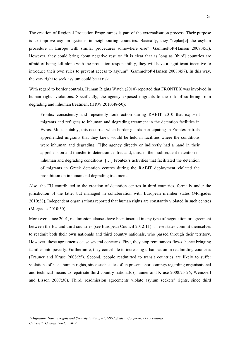The creation of Regional Protection Programmes is part of the externalisation process. Their purpose is to improve asylum systems in neighbouring countries. Basically, they "replac[e] the asylum procedure in Europe with similar procedures somewhere else" (Gammeltoft-Hansen 2008:455). However, they could bring about negative results: "it is clear that as long as [third] countries are afraid of being left alone with the protection responsibility, they will have a significant incentive to introduce their own rules to prevent access to asylum" (Gammeltoft-Hansen 2008:457). In this way, the very right to seek asylum could be at risk.

With regard to border controls, Human Rights Watch (2010) reported that FRONTEX was involved in human rights violations. Specifically, the agency exposed migrants to the risk of suffering from degrading and inhuman treatment (HRW 2010:48-50):

Frontex consistently and repeatedly took action during RABIT 2010 that exposed migrants and refugees to inhuman and degrading treatment in the detention facilities in Evros. Most notably, this occurred when border guards participating in Frontex patrols apprehended migrants that they knew would be held in facilities where the conditions were inhuman and degrading. [T]he agency directly or indirectly had a hand in their apprehension and transfer to detention centres and, thus, in their subsequent detention in inhuman and degrading conditions. […] Frontex's activities that facilitated the detention of migrants in Greek detention centres during the RABIT deployment violated the prohibition on inhuman and degrading treatment.

Also, the EU contributed to the creation of detention centres in third countries, formally under the jurisdiction of the latter but managed in collaboration with European member states (Morgades 2010:28). Independent organisations reported that human rights are constantly violated in such centres (Morgades 2010:30).

Moreover, since 2001, readmission clauses have been inserted in any type of negotiation or agreement between the EU and third countries (see European Council 2012:11). These states commit themselves to readmit both their own nationals and third country nationals, who passed through their territory. However, these agreements cause several concerns. First, they stop remittances flows, hence bringing families into poverty. Furthermore, they contribute to increasing urbanisation in readmitting countries (Trauner and Kruse 2008:25). Second, people readmitted to transit countries are likely to suffer violations of basic human rights, since such states often present shortcomings regarding organisational and technical means to repatriate third country nationals (Trauner and Kruse 2008:25-26; Weinzierl and Lisson 2007:30). Third, readmission agreements violate asylum seekers' rights, since third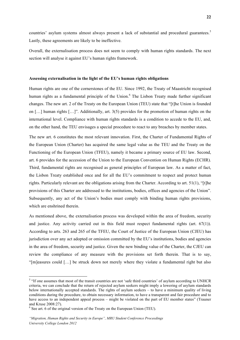countries' asylum systems almost always present a lack of substantial and procedural guarantees.<sup>5</sup> Lastly, these agreements are likely to be ineffective.

Overall, the externalisation process does not seem to comply with human rights standards. The next section will analyse it against EU's human rights framework.

#### **Assessing externalisation in the light of the EU's human rights obligations**

Human rights are one of the cornerstones of the EU. Since 1992, the Treaty of Maastricht recognised human rights as a fundamental principle of the Union.<sup>6</sup> The Lisbon Treaty made further significant changes. The new art. 2 of the Treaty on the European Union (TEU) state that "[t]he Union is founded on […] human rights […]". Additionally, art. 3(5) provides for the promotion of human rights on the international level. Compliance with human rights standards is a condition to accede to the EU, and, on the other hand, the TEU envisages a special procedure to react to any breaches by member states.

The new art. 6 constitutes the most relevant innovation. First, the Charter of Fundamental Rights of the European Union (Charter) has acquired the same legal value as the TEU and the Treaty on the Functioning of the European Union (TFEU), namely it became a primary source of EU law. Second, art. 6 provides for the accession of the Union to the European Convention on Human Rights (ECHR). Third, fundamental rights are recognised as general principles of European law. As a matter of fact, the Lisbon Treaty established once and for all the EU's commitment to respect and protect human rights. Particularly relevant are the obligations arising from the Charter. According to art. 51(1), "[t]he provisions of this Charter are addressed to the institutions, bodies, offices and agencies of the Union". Subsequently, any act of the Union's bodies must comply with binding human rights provisions, which are enshrined therein.

As mentioned above, the externalisation process was developed within the area of freedom, security and justice. Any activity carried out in this field must respect fundamental rights (art.  $67(1)$ ). According to arts. 263 and 265 of the TFEU, the Court of Justice of the European Union (CJEU) has jurisdiction over any act adopted or omission committed by the EU's institutions, bodies and agencies in the area of freedom, security and justice. Given the new binding value of the Charter, the CJEU can review the compliance of any measure with the provisions set forth therein. That is to say, "[m]easures could […] be struck down not merely where they violate a fundamental right but also

<u> 1989 - Jan Samuel Barbara, margaret e</u>

<sup>&</sup>lt;sup>5</sup> "If one assumes that most of the transit countries are not 'safe third countries' of asylum according to UNHCR criteria, we can conclude that the return of rejected asylum seekers might imply a lowering of asylum standards below internationally accepted standards. The rights of asylum seekers – to have a minimum quality of living conditions during the procedure, to obtain necessary information, to have a transparent and fair procedure and to have access to an independent appeal process – might be violated on the part of EU member states" (Trauner and Kruse 2008:27). <sup>6</sup> See art. 6 of the original version of the Treaty on the European Union (TEU).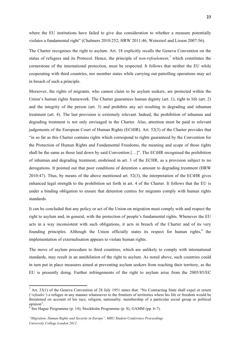where the EU institutions have failed to give due consideration to whether a measure potentially violates a fundamental right" (Chalmers 2010:252; HRW 2011:46; Weinzierl and Lisson 2007:56).

The Charter recognises the right to asylum. Art. 18 explicitly recalls the Geneva Convention on the status of refugees and its Protocol. Hence, the principle of *non-refoulement*, <sup>7</sup> which constitutes the cornerstone of the international protection, must be respected. It follows that neither the EU while cooperating with third countries, nor member states while carrying out patrolling operations may act in breach of such a principle.

Moreover, the rights of migrants, who cannot claim to be asylum seekers, are protected within the Union's human rights framework. The Charter guarantees human dignity (art. 1), right to life (art. 2) and the integrity of the person (art. 3) and prohibits any act resulting in degrading and inhuman treatment (art. 4). The last provision is extremely relevant. Indeed, the prohibition of inhuman and degrading treatment is not only envisaged in the Charter. Also, attention must be paid to relevant judgements of the European Court of Human Rights (ECtHR). Art. 52(3) of the Charter provides that "in so far as this Charter contains rights which correspond to rights guaranteed by the Convention for the Protection of Human Rights and Fundamental Freedoms, the meaning and scope of those rights shall be the same as those laid down by said Convention […]". The ECtHR recognised the prohibition of inhuman and degrading treatment, enshrined in art. 3 of the ECHR, as a provision subject to no derogations. It pointed out that poor conditions of detention s amount to degrading treatment (HRW 2010:47). Thus, by means of the above mentioned art. 52(3), the interpretation of the ECtHR gives enhanced legal strength to the prohibition set forth in art. 4 of the Charter. It follows that the EU is under a binding obligation to ensure that detention centres for migrants comply with human rights standards.

It can be concluded that any policy or act of the Union on migration must comply with and respect the right to asylum and, in general, with the protection of people's fundamental rights. Whenever the EU acts in a way inconsistent with such obligations, it acts in breach of the Charter and of its very founding principles. Although the Union officially states its respect for human rights, $8$  the implementation of externalisation appears to violate human rights.

The move of asylum procedure to third countries, which are unlikely to comply with international standards, may result in an annihilation of the right to asylum. As noted above, such countries could in turn put in place measures aimed at preventing asylum seekers from reaching their territory, as the EU is presently doing. Further infringements of the right to asylum arise from the 2005/85/EC

 

<sup>7</sup> Art. 33(1) of the Geneva Convention of 28 July 1951 states that: "No Contracting State shall expel or return ('*refouler'*) a refugee in any manner whatsoever to the frontiers of territories where his life or freedom would be threatened on account of his race, religion, nationality, membership of a particular social group or political opinion".

<sup>8</sup> See Hague Programme (p. 14); Stockholm Programme (p. 8); GAMM (pp. 6-7).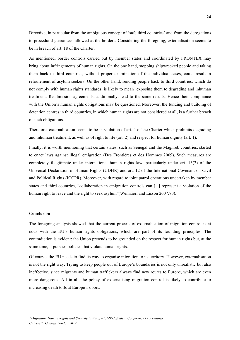Directive, in particular from the ambiguous concept of 'safe third countries' and from the derogations to procedural guarantees allowed at the borders. Considering the foregoing, externalisation seems to be in breach of art. 18 of the Charter.

As mentioned, border controls carried out by member states and coordinated by FRONTEX may bring about infringements of human rights. On the one hand, stopping shipwrecked people and taking them back to third countries, without proper examination of the individual cases, could result in refoulement of asylum seekers. On the other hand, sending people back to third countries, which do not comply with human rights standards, is likely to mean exposing them to degrading and inhuman treatment. Readmission agreements, additionally, lead to the same results. Hence their compliance with the Union's human rights obligations may be questioned. Moreover, the funding and building of detention centres in third countries, in which human rights are not considered at all, is a further breach of such obligations.

Therefore, externalisation seems to be in violation of art. 4 of the Charter which prohibits degrading and inhuman treatment, as well as of right to life (art. 2) and respect for human dignity (art. 1).

Finally, it is worth mentioning that certain states, such as Senegal and the Maghreb countries, started to enact laws against illegal emigration (Des Frontières et des Hommes 2009). Such measures are completely illegitimate under international human rights law, particularly under art. 13(2) of the Universal Declaration of Human Rights (UDHR) and art. 12 of the International Covenant on Civil and Political Rights (ICCPR). Moreover, with regard to joint patrol operations undertaken by member states and third countries, "collaboration in emigration controls can [...] represent a violation of the human right to leave and the right to seek asylum"(Weinzierl and Lisson 2007:70).

#### **Conclusion**

The foregoing analysis showed that the current process of externalisation of migration control is at odds with the EU's human rights obligations, which are part of its founding principles. The contradiction is evident: the Union pretends to be grounded on the respect for human rights but, at the same time, it pursues policies that violate human rights.

Of course, the EU needs to find its way to organise migration to its territory. However, externalisation is not the right way. Trying to keep people out of Europe's boundaries is not only unrealistic but also ineffective, since migrants and human traffickers always find new routes to Europe, which are even more dangerous. All in all, the policy of externalising migration control is likely to contribute to increasing death tolls at Europe's doors.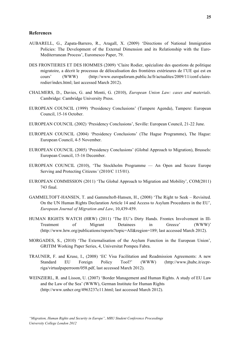#### **References**

- AUBARELL, G., Zapata-Barrero, R., Aragall, X. (2009) 'Directions of National Immigration Policies: The Development of the External Dimension and its Relationship with the Euro-Mediterranean Process', Euromesco Paper, 79.
- DES FRONTIERES ET DES HOMMES (2009) 'Claire Rodier, spécialiste des questions de politique migratoire, a décrit le processus de délocalisation des frontières extérieures de l'UE qui est en cours' (WWW) (http://www.europaforum.public.lu/fr/actualites/2009/11/conf-clairerodier/index.html; last accessed March 2012).
- CHALMERS, D., Davies, G. and Monti, G. (2010), *European Union Law: cases and materials*. Cambridge: Cambridge University Press.
- EUROPEAN COUNCIL (1999) 'Presidency Conclusions' (Tampere Agenda), Tampere: European Council, 15-16 October.
- EUROPEAN COUNCIL (2002) 'Presidency Conclusions', Seville: European Council, 21-22 June.
- EUROPEAN COUNCIL (2004) 'Presidency Conclusions' (The Hague Programme), The Hague: European Council, 4-5 November.
- EUROPEAN COUNCIL (2005) 'Presidency Conclusions' (Global Approach to Migration), Brussels: European Council, 15-16 December.
- EUROPEAN COUNCIL (2010), 'The Stockholm Programme An Open and Secure Europe Serving and Protecting Citizens*'* (2010/C 115/01).
- EUROPEAN COMMISSION (2011) 'The Global Approach to Migration and Mobility', COM(2011) 743 final.
- GAMMELTOFT-HANSEN, T. and Gammeltoft-Hansen, H., (2008) 'The Right to Seek Revisited. On the UN Human Rights Declaration Article 14 and Access to Asylum Procedures in the EU', *European Journal of Migration and Law*, 10,439-459.
- HUMAN RIGHTS WATCH (HRW) (2011) 'The EU's Dirty Hands. Frontex Involvement in Ill-Treatment of Migrant Detainees in Greece' (WWW)' (http://www.hrw.org/publications/reports?topic=All&region=189; last accessed March 2012).
- MORGADES, S., (2010) 'The Externalisation of the Asylum Function in the European Union', GRITIM Working Paper Series, 4, Universitat Pompeu Fabra.
- TRAUNER, F. and Kruse, I., (2008) 'EC Visa Facilitation and Readmission Agreements: A new Standard EU Foreign Policy Tool?' (WWW) (http://www.jhubc.it/ecprriga/virtualpaperroom/058.pdf, last accessed March 2012).
- WEINZIERL, R. and Lisson, U. (2007) 'Border Management and Human Rights. A study of EU Law and the Law of the Sea' (WWW), German Institute for Human Rights (http://www.unhcr.org/4963237c11.html; last accessed March 2012).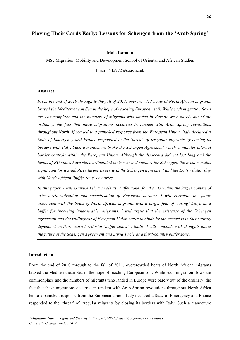## **Playing Their Cards Early: Lessons for Schengen from the 'Arab Spring'**

#### **Maia Rotman**

MSc Migration, Mobility and Development School of Oriental and African Studies

Email: 545772@soas.ac.uk

#### **Abstract**

*From the end of 2010 through to the fall of 2011, overcrowded boats of North African migrants braved the Mediterranean Sea in the hope of reaching European soil. While such migration flows are commonplace and the numbers of migrants who landed in Europe were barely out of the ordinary, the fact that these migrations occurred in tandem with Arab Spring revolutions throughout North Africa led to a panicked response from the European Union. Italy declared a State of Emergency and France responded to the 'threat' of irregular migrants by closing its borders with Italy. Such a manoeuvre broke the Schengen Agreement which eliminates internal border controls within the European Union. Although the disaccord did not last long and the heads of EU states have since articulated their renewed support for Schengen, the event remains significant for it symbolises larger issues with the Schengen agreement and the EU's relationship with North African 'buffer zone' countries.*

*In this paper, I will examine Libya's role as 'buffer zone' for the EU within the larger context of extra-territorialisation and securitisation of European borders. I will correlate the panic associated with the boats of North African migrants with a larger fear of 'losing' Libya as a buffer for incoming 'undesirable' migrants. I will argue that the existence of the Schengen agreement and the willingness of European Union states to abide by the accord is in fact entirely dependent on these extra-territorial 'buffer zones'. Finally, I will conclude with thoughts about the future of the Schengen Agreement and Libya's role as a third-country buffer zone.*

#### **Introduction**

From the end of 2010 through to the fall of 2011, overcrowded boats of North African migrants braved the Mediterranean Sea in the hope of reaching European soil. While such migration flows are commonplace and the numbers of migrants who landed in Europe were barely out of the ordinary, the fact that these migrations occurred in tandem with Arab Spring revolutions throughout North Africa led to a panicked response from the European Union. Italy declared a State of Emergency and France responded to the 'threat' of irregular migrants by closing its borders with Italy. Such a manoeuvre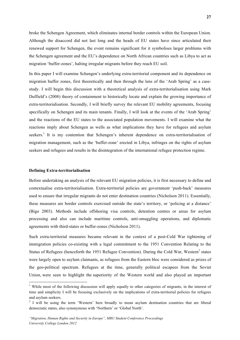broke the Schengen Agreement, which eliminates internal border controls within the European Union. Although the disaccord did not last long and the heads of EU states have since articulated their renewed support for Schengen, the event remains significant for it symbolises larger problems with the Schengen agreement and the EU's dependence on North African countries such as Libya to act as migration 'buffer-zones', halting irregular migrants before they reach EU soil.

In this paper I will examine Schengen's underlying extra-territorial component and its dependence on migration buffer zones, first theoretically and then through the lens of the 'Arab Spring' as a casestudy. I will begin this discussion with a theoretical analysis of extra-territorialisation using Mark Duffield's (2008) theory of containment to historically locate and explain the growing importance of extra-territorialisation. Secondly, I will briefly survey the relevant EU mobility agreements, focusing specifically on Schengen and its main tenants. Finally, I will look at the events of the 'Arab Spring' and the reactions of the EU states to the associated population movements. I will examine what the reactions imply about Schengen as wells as what implications they have for refugees and asylum seekers.<sup>1</sup> It is my contention that Schengen's inherent dependence on extra-territorialisation of migration management, such as the 'buffer-zone' erected in Libya, infringes on the rights of asylum seekers and refugees and results in the disintegration of the international refugee protection regime.

#### **Defining Extra-territorialisation**

 

Before undertaking an analysis of the relevant EU migration policies, it is first necessary to define and contextualise extra-territorialisation. Extra-territorial policies are government 'push-back' measures used to ensure that irregular migrants do not enter destination countries (Nicholson 2011). Essentially, these measures are border controls exercised outside the state's territory, or 'policing at a distance' (Bigo 2003). Methods include offshoring visa controls, detention centres or areas for asylum processing and also can include maritime controls, anti-smuggling operations, and diplomatic agreements with third-states or buffer-zones (Nicholson 2011).

Such extra-territorial measures became relevant in the context of a post-Cold War tightening of immigration policies co-existing with a legal commitment to the 1951 Convention Relating to the Status of Refugees (henceforth the 1951 Refugee Convention). During the Cold War, Western<sup>2</sup> states were largely open to asylum claimants, as refugees from the Eastern bloc were considered as prizes of the geo-political spectrum. Refugees at the time, generally political escapees from the Soviet Union, were seen to highlight the superiority of the Western world and also played an important

<sup>&</sup>lt;sup>1</sup> While most of the following discussion will apply equally to other categories of migrants, in the interest of time and simplicity I will be focusing exclusively on the implications of extra-territorial policies for refugees and asylum seekers.

<sup>&</sup>lt;sup>2</sup> I will be using the term 'Western' here broadly to mean asylum destination countries that are liberal democratic states, also synonymous with 'Northern' or 'Global North'.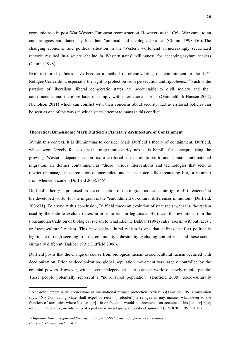economic role in post-War Western European reconstruction. However, as the Cold War came to an end, refugees simultaneously lost their "political and ideological value" (Chimni 1998:356). The changing economic and political situation in the Western world and an increasingly securitized rhetoric resulted in a severe decline in Western states' willingness for accepting asylum seekers (Chimni 1998).

Extra-territorial policies have become a method of circumventing the commitment to the 1951 Refugee Convention, especially the right to protection from persecution and *refoulement*. <sup>3</sup> Such is the paradox of liberalism: liberal democratic states are accountable to civil society and their constituencies and therefore have to comply with international norms (Gammelthoft-Hansen 2007; Nicholson 2011) which can conflict with their concerns about security. Extra-territorial policies can be seen as one of the ways in which states attempt to manage this conflict.

#### **Theoretical Dimensions: Mark Duffield's Planetary Architecture of Containment**

Within this context, it is illuminating to consider Mark Duffield's theory of containment. Duffield, whose work largely focuses on the migration-security nexus, is helpful for conceptualising the growing Western dependence on extra-territorial measures to curb and contain international migration. He defines containment as "those various interventions and technologies that seek to restrict or manage the circulation of incomplete and hence potentially threatening life, or return it from whence it came" (Duffield 2008:146).

Duffield's theory is premised on the conception of the migrant as the iconic figure of 'threatener' to the developed world, for the migrant is the "embodiment of cultural differences in motion" (Duffield, 2006:71). To arrive at this conclusion, Duffield traces an evolution of state racism, that is, the racism used by the state to exclude others in order to remain legitimate. He traces this evolution from the Foucauldian tradition of biological racism to what Etienne Balibar (1991) calls 'racism without races', or 'socio-cultural' racism. This new socio-cultural racism is one that defines itself as politically legitimate through seeming to bring community cohesion by excluding non-citizens and those socioculturally different (Balibar 1991; Duffield 2006).

Duffield posits that the change of course from biological racism to sociocultural racism occurred with decolonization. Prior to decolonization, global population movement was largely controlled by the colonial powers. However, with nascent independent states came a world of newly mobile people. These people potentially represent a "non-insured population" (Duffield 2008): socio-culturally

<u> 1989 - Jan Samuel Barbara, margaret e</u>

<sup>&</sup>lt;sup>3</sup> Non-refoulement is the cornerstone of international refugee protection. Article 33(1) of the 1951 Convention says: "No Contracting State shall expel or return ("refouler") a refugee in any manner whatsoever to the frontiers of territories where his [or her] life or freedom would be threatened on account of his [or her] race, religion, nationality, membership of a particular social group or political opinion." (UNHCR, [1951] 2010).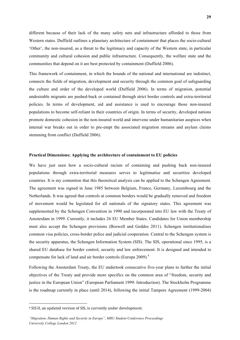different because of their lack of the many safety nets and infrastructure afforded to those from Western states. Duffield outlines a planetary architecture of containment that places the socio-cultural 'Other', the non-insured, as a threat to the legitimacy and capacity of the Western state, in particular community and cultural cohesion and public infrastructure. Consequently, the welfare state and the communities that depend on it are best protected by containment (Duffield 2006).

This framework of containment, in which the bounds of the national and international are indistinct, connects the fields of migration, development and security through the common goal of safeguarding the culture and order of the developed world (Duffield 2006). In terms of migration, potential undesirable migrants are pushed-back or contained through strict border controls and extra-territorial policies. In terms of development, aid and assistance is used to encourage those non-insured populations to become self-reliant in their countries of origin. In terms of security, developed nations promote domestic cohesion in the non-insured world and intervene under humanitarian auspices when internal war breaks out in order to pre-empt the associated migration streams and asylum claims stemming from conflict (Duffield 2006).

#### **Practical Dimensions: Applying the architecture of containment to EU policies**

We have just seen how a socio-cultural racism of containing and pushing back non-insured populations through extra-territorial measures serves to legitimatise and securitize developed countries. It is my contention that this theoretical analysis can be applied to the Schengen Agreement. The agreement was signed in June 1985 between Belgium, France, Germany, Luxembourg and the Netherlands. It was agreed that controls at common borders would be gradually removed and freedom of movement would be legislated for all nationals of the signatory states. This agreement was supplemented by the Schengen Convention in 1990 and incorporated into EU law with the Treaty of Amsterdam in 1999. Currently, it includes 26 EU Member States. Candidates for Union membership must also accept the Schengen provisions (Boswell and Geddes 2011). Schengen institutionalises common visa policies, cross-border police and judicial cooperation. Central to the Schengen system is the security apparatus, the Schengen Information System (SIS). The SIS, operational since 1995, is a shared EU database for border control, security and law enforcement. It is designed and intended to compensate for lack of land and air border controls (Europa 2009).<sup>4</sup>

Following the Amsterdam Treaty, the EU undertook consecutive five-year plans to further the initial objectives of the Treaty and provide more specifics on the common area of "freedom, security and justice in the European Union" (European Parliament 1999: Introduction). The Stockholm Programme is the roadmap currently in place (until 2014), following the initial Tampere Agreement (1999-2004)

<u> 1989 - Jan Samuel Barbara, margaret e</u>

<sup>4</sup> SIS II, an updated version of SIS, is currently under development.

*<sup>&</sup>quot;Migration, Human Rights and Security in Europe", MRU Student Conference Proceedings University College London 2012*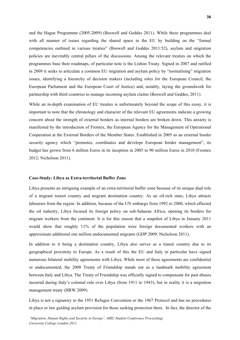and the Hague Programme (2005-2009) (Boswell and Geddes 2011). While these programmes deal with all manner of issues regarding the shared space in the EU by building on the "formal competencies outlined in various treaties" (Boswell and Geddes 2011:52), asylum and migration policies are inevitably central pillars of the discussions. Among the relevant treaties on which the programmes base their roadmaps, of particular note is the Lisbon Treaty. Signed in 2007 and ratified in 2009 it seeks to articulate a common EU migration and asylum policy by "normalising" migration issues, identifying a hierarchy of decision makers (including roles for the European Council, the European Parliament and the European Court of Justice) and, notably, laying the groundwork for partnership with third countries to manage incoming asylum claims (Boswell and Geddes, 2011).

While an in-depth examination of EU treaties is unfortunately beyond the scope of this essay, it is important to note that the chronology and character of the relevant EU agreements indicate a growing concern about the strength of external borders as internal borders are broken down. This anxiety is manifested by the introduction of Frontex, the European Agency for the Management of Operational Cooperation at the External Borders of the Member States. Established in 2005 as an external border security agency which "promotes, coordinates and develops European border management", its budget has grown from 6 million Euros in its inception in 2005 to 90 million Euros in 2010 (Frontex 2012; Nicholson 2011).

#### **Case-Study: Libya as Extra-territorial Buffer Zone**

Libya presents an intriguing example of an extra-territorial buffer zone because of its unique dual role of a migrant transit country and migrant destination country. As an oil-rich state, Libya attracts labourers from the region. In addition, because of the UN embargo from 1992 to 2000, which affected the oil industry, Libya focused its foreign policy on sub-Saharan Africa, opening its borders for migrant workers from the continent. It is for this reason that a snapshot of Libya in January 2011 would show that roughly 11% of the population were foreign documented workers with an approximate additional one million undocumented migrants (GDP 2009; Nicholson 2011).

In addition to it being a destination country, Libya also serves as a transit country due to its geographical proximity to Europe. As a result of this the EU and Italy in particular have signed numerous bilateral mobility agreements with Libya. While most of these agreements are confidential or undocumented, the 2008 Treaty of Friendship stands out as a landmark mobility agreement between Italy and Libya. The Treaty of Friendship was officially signed to compensate for past abuses incurred during Italy's colonial rule over Libya (from 1911 to 1943), but in reality it is a migration management treaty (HRW 2009).

Libya is not a signatory to the 1951 Refugee Convention or the 1967 Protocol and has no procedures in place or law guiding asylum provision for those seeking protection there. In fact, the director of the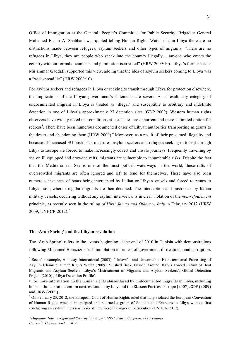Office of Immigration at the General' People's Committee for Public Security, Brigadier General Mohamed Bashir Al Shabbani was quoted telling Human Rights Watch that in Libya there are no distinctions made between refugees, asylum seekers and other types of migrants: "There are no refugees in Libya, they are people who sneak into the country illegally… anyone who enters the country without formal documents and permission is arrested" (HRW 2009:10). Libya's former leader Mu'ammar Gaddafi, supported this view, adding that the idea of asylum seekers coming to Libya was a "widespread lie" (HRW 2009:10).

For asylum seekers and refugees in Libya or seeking to transit through Libya for protection elsewhere, the implications of the Libyan government's statements are severe. As a result, any category of undocumented migrant in Libya is treated as 'illegal' and susceptible to arbitrary and indefinite detention in one of Libya's approximately 27 detention sites (GDP 2009). Western human rights observers have widely noted that conditions at these sites are abhorrent and there is limited option for redress<sup>5</sup>. There have been numerous documented cases of Libyan authorities transporting migrants to the desert and abandoning them  $(HRW 2009)$ <sup>6</sup> Moreover, as a result of their presumed illegality and because of increased EU push-back measures, asylum seekers and refugees seeking to transit through Libya to Europe are forced to make increasingly covert and unsafe journeys. Frequently travelling by sea on ill equipped and crowded rafts, migrants are vulnerable to innumerable risks. Despite the fact that the Mediterranean Sea is one of the most policed waterways in the world, these rafts of overcrowded migrants are often ignored and left to fend for themselves. There have also been numerous instances of boats being intercepted by Italian or Libyan vessels and forced to return to Libyan soil, where irregular migrants are then detained. The interception and push-back by Italian military vessels, occurring without any asylum interviews, is in clear violation of the *non-refoulement*  principle, as recently seen in the ruling *of Hirsi Jamaa and Others v. Italy* in February 2012 (HRW 2009; UNHCR 2012).<sup>7</sup>

#### **The 'Arab Spring' and the Libyan revolution**

 

The 'Arab Spring' refers to the events beginning at the end of 2010 in Tunisia with demonstrations following Mohamed Bouazizi's self-immolation in protest of government ill-treatment and corruption.

<sup>5</sup> See, for example, Amnesty International (2003), 'Unlawful and Unworkable: Extra-territorial Processing of Asylum Claims'; Human Rights Watch (2009), 'Pushed Back, Pushed Around: Italy's Forced Return of Boat Migrants and Asylum Seekers, Libya's Mistreatment of Migrants and Asylum Seekers'; Global Detention Project (2010) ,'Libya Detention Profile'.

<sup>6</sup> For more information on the human rights abuses faced by undocumented migrants in Libya, including information about detention centres funded by Italy and the EU, see: Fortress Europe (2007), GDP (2009) and HRW (2009).

 $<sup>7</sup>$  On February 23, 2012, the European Court of Human Rights ruled that Italy violated the European Convention</sup> of Human Rights when it intercepted and returned a group of Somalis and Eritreans to Libya without first conducting an asylum interview to see if they were in danger of persecution (UNHCR 2012).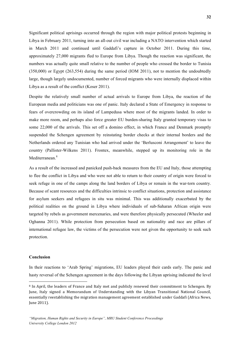Significant political uprisings occurred through the region with major political protests beginning in Libya in February 2011, turning into an all-out civil war including a NATO intervention which started in March 2011 and continued until Gaddafi's capture in October 2011. During this time, approximately 27,000 migrants fled to Europe from Libya. Though the reaction was significant, the numbers was actually quite small relative to the number of people who crossed the border to Tunisia (350,000) or Egypt (263,554) during the same period (IOM 2011), not to mention the undoubtedly large, though largely undocumented, number of forced migrants who were internally displaced within Libya as a result of the conflict (Koser 2011).

Despite the relatively small number of actual arrivals to Europe from Libya, the reaction of the European media and politicians was one of panic. Italy declared a State of Emergency in response to fears of overcrowding on its island of Lampedusa where most of the migrants landed. In order to make more room, and perhaps also force greater EU burden-sharing Italy granted temporary visas to some 22,000 of the arrivals. This set off a domino effect, in which France and Denmark promptly suspended the Schengen agreement by reinstating border checks at their internal borders and the Netherlands ordered any Tunisian who had arrived under the 'Berlusconi Arrangement' to leave the country (Pallister-Wilkens 2011). Frontex, meanwhile, stepped up its monitoring role in the Mediterranean<sup>8</sup>

As a result of the increased and panicked push-back measures from the EU and Italy, those attempting to flee the conflict in Libya and who were not able to return to their country of origin were forced to seek refuge in one of the camps along the land borders of Libya or remain in the war-torn country. Because of scant resources and the difficulties intrinsic to conflict situations, protection and assistance for asylum seekers and refugees in situ was minimal. This was additionally exacerbated by the political realities on the ground in Libya where individuals of sub-Saharan African origin were targeted by rebels as government mercenaries, and were therefore physically persecuted (Wheeler and Oghanna 2011). While protection from persecution based on nationality and race are pillars of international refugee law, the victims of the persecution were not given the opportunity to seek such protection.

#### **Conclusion**

<u> 1989 - Jan Samuel Barbara, margaret e</u>

In their reactions to 'Arab Spring' migrations, EU leaders played their cards early. The panic and hasty reversal of the Schengen agreement in the days following the Libyan uprising indicated the level

<sup>8</sup> In April, the leaders of France and Italy met and publicly renewed their commitment to Schengen. By June, Italy signed a Memorandum of Understanding with the Libyan Transitional National Council, essentially reestablishing the migration management agreement established under Gaddafi (Africa News, June 2011).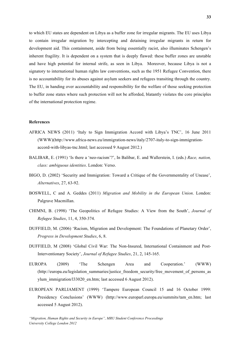to which EU states are dependent on Libya as a buffer zone for irregular migrants. The EU uses Libya to contain irregular migration by intercepting and detaining irregular migrants in return for development aid. This containment, aside from being essentially racist, also illuminates Schengen's inherent fragility. It is dependent on a system that is deeply flawed: these buffer zones are unstable and have high potential for internal strife, as seen in Libya. Moreover, because Libya is not a signatory to international human rights law conventions, such as the 1951 Refugee Convention, there is no accountability for its abuses against asylum seekers and refugees transiting through the country. The EU, in handing over accountability and responsibility for the welfare of those seeking protection to buffer zone states where such protection will not be afforded, blatantly violates the core principles of the international protection regime.

#### **References**

- AFRICA NEWS (2011) 'Italy to Sign Immigration Accord with Libya's TNC', 16 June 2011 (WWW)(http://www.africa-news.eu/immigration-news/italy/2707-italy-to-sign-immigrationaccord-with-libyas-tnc.html; last accessed 9 August 2012.)
- BALIBAR, E. (1991) 'Is there a 'neo-racism'?', In Balibar, E. and Wallerstein, I. (eds.) *Race, nation, class: ambiguous identities*. London: Verso.
- BIGO, D. (2002) 'Security and Immigration: Toward a Critique of the Governmentality of Unease', *Alternatives*, 27, 63-92.
- BOSWELL, C and A. Geddes (2011) *Migration and Mobility in the European Union*. London: Palgrave Macmillan.
- CHIMNI, B. (1998) 'The Geopolitics of Refugee Studies: A View from the South', *Journal of Refugee Studies*, 11, 4, 350-374.
- DUFFIELD, M. (2006) 'Racism, Migration and Development: The Foundations of Planetary Order', *Progress in Development Studies*, 6, 8.
- DUFFIELD, M (2008) 'Global Civil War: The Non-Insured, International Containment and Post-Interventionary Society', *Journal of Refugee Studies*, 21, 2, 145-165.
- EUROPA (2009) 'The Schengen Area and Cooperation.' (WWW) (http://europa.eu/legislation\_summaries/justice\_freedom\_security/free\_movement\_of\_persons\_as ylum\_immigration/l33020\_en.htm; last accessed 6 August 2012).
- EUROPEAN PARLIAMENT (1999) 'Tampere European Council 15 and 16 October 1999: Presidency Conclusions' (WWW) (http://www.europarl.europa.eu/summits/tam\_en.htm; last accessed 5 August 2012).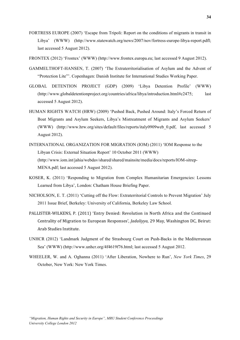- FORTRESS EUROPE (2007) 'Escape from Tripoli: Report on the conditions of migrants in transit in Libya' (WWW) (http://www.statewatch.org/news/2007/nov/fortress-europe-libya-report.pdfl; last accessed 5 August 2012).
- FRONTEX (2012) 'Frontex' (WWW) (http://www.frontex.europa.eu; last accessed 9 August 2012).
- GAMMELTHOFT-HANSEN, T. (2007) 'The Extraterritorialisation of Asylum and the Advent of "Protection Lite"'. Copenhagen: Danish Institute for International Studies Working Paper.
- GLOBAL DETENTION PROJECT (GDP) (2009) 'Libya Detention Profile' (WWW) (http://www.globaldetentionproject.org/countries/africa/libya/introduction.html#c2475; last accessed 5 August 2012).
- HUMAN RIGHTS WATCH (HRW) (2009) 'Pushed Back, Pushed Around: Italy's Forced Return of Boat Migrants and Asylum Seekers, Libya's Mistreatment of Migrants and Asylum Seekers' (WWW) (http://www.hrw.org/sites/default/files/reports/italy0909web\_0.pdf, last accessed 5 August 2012).
- INTERNATIONAL ORGANIZATION FOR MIGRATION (IOM) (2011) 'IOM Response to the Libyan Crisis: External Situation Report' 10 October 2011 (WWW) (http://www.iom.int/jahia/webdav/shared/shared/mainsite/media/docs/reports/IOM-sitrep-MENA.pdf; last accessed 5 August 2012).
- KOSER, K. (2011) 'Responding to Migration from Complex Humanitarian Emergencies: Lessons Learned from Libya', London: Chatham House Briefing Paper.
- NICHOLSON, E. T. (2011) 'Cutting off the Flow: Extraterritorial Controls to Prevent Migration' July 2011 Issue Brief, Berkeley: University of California, Berkeley Law School.
- PALLISTER-WILKENS, P. (2011) 'Entry Denied: Revolution in North Africa and the Continued Centrality of Migration to European Responses', *Jadaliyya*, 29 May, Washington DC, Beirut: Arab Studies Institute.
- UNHCR (2012) 'Landmark Judgment of the Strasbourg Court on Push-Backs in the Mediterranean Sea' (WWW) (http://www.unhcr.org/4f4619f76.html; last accessed 5 August 2012.
- WHEELER, W. and A. Oghanna (2011) 'After Liberation, Nowhere to Run', *New York Times*, 29 October, New York: New York Times.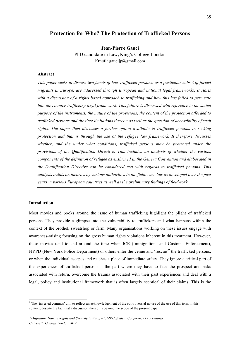## **Protection for Who? The Protection of Trafficked Persons**

**Jean-Pierre Gauci** PhD candidate in Law**,** King's College London Email: gaucijp@gmail.com

#### **Abstract**

*This paper seeks to discuss two facets of how trafficked persons, as a particular subset of forced migrants in Europe, are addressed through European and national legal frameworks. It starts with a discussion of a rights based approach to trafficking and how this has failed to permeate*  into the counter-trafficking legal framework. This failure is discussed with reference to the stated *purpose of the instruments, the nature of the provisions, the content of the protection afforded to trafficked persons and the time limitations thereon as well as the question of accessibility of such rights. The paper then discusses a further option available to trafficked persons in seeking protection and that is through the use of the refugee law framework. It therefore discusses whether, and the under what conditions, trafficked persons may be protected under the provisions of the Qualification Directive. This includes an analysis of whether the various components of the definition of refugee as enshrined in the Geneva Convention and elaborated in the Qualification Directive can be considered met with regards to trafficked persons. This analysis builds on theories by various authorities in the field, case law as developed over the past years in various European countries as well as the preliminary findings of fieldwork.*

#### **Introduction**

<u> 1989 - Johann Stein, fransk politiker (d. 1989)</u>

Most movies and books around the issue of human trafficking highlight the plight of trafficked persons. They provide a glimpse into the vulnerability to traffickers and what happens within the context of the brothel, sweatshop or farm. Many organisations working on these issues engage with awareness-raising focusing on the gross human rights violations inherent in this treatment. However, these movies tend to end around the time when ICE (Immigrations and Customs Enforcement), NYPD (New York Police Department) or others enter the venue and 'rescue'<sup>9</sup> the trafficked persons, or when the individual escapes and reaches a place of immediate safety. They ignore a critical part of the experiences of trafficked persons – the part where they have to face the prospect and risks associated with return, overcome the trauma associated with their past experiences and deal with a legal, policy and institutional framework that is often largely sceptical of their claims. This is the

 $9$  The 'inverted commas' aim to reflect an acknowledgement of the controversial nature of the use of this term in this context, despite the fact that a discussion thereof is beyond the scope of the present paper.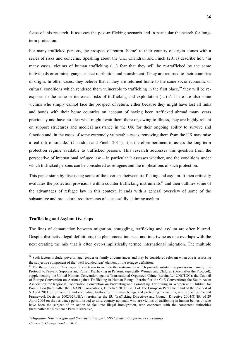focus of this research. It assesses the post-trafficking scenario and in particular the search for longterm protection.

For many trafficked persons, the prospect of return 'home' to their country of origin comes with a series of risks and concerns. Speaking about the UK, Chandran and Finch (2011) describe how 'in many cases, victims of human trafficking (…) fear that they will be re-trafficked by the same individuals or criminal gangs or face retribution and punishment if they are returned to their countries of origin. In other cases, they believe that if they are returned home to the same socio-economic or cultural conditions which rendered them vulnerable to trafficking in the first place,  $^{10}$  they will be reexposed to the same or increased risks of trafficking and exploitation (…) ?. There are also some victims who simply cannot face the prospect of return, either because they might have lost all links and bonds with their home countries on account of having been trafficked abroad many years previously and have no idea what might await them there or, owing to illness, they are highly reliant on support structures and medical assistance in the UK for their ongoing ability to survive and function and, in the cases of some extremely vulnerable cases, removing them from the UK may raise a real risk of suicide.' (Chandran and Finch: 2011). It is therefore pertinent to assess the long-term protection regime available to trafficked persons. This research addresses this question from the perspective of international refugee law – in particular it assesses whether, and the conditions under which trafficked persons can be considered as refugees and the implications of such protection.

This paper starts by discussing some of the overlaps between trafficking and asylum. It then critically evaluates the protection provisions within counter-trafficking instruments<sup>11</sup> and then outlines some of the advantages of refugee law in this context. It ends with a general overview of some of the substantive and procedural requirements of successfully claiming asylum.

## **Trafficking and Asylum Overlaps**

<u> 1989 - Johann Stein, fransk politiker (d. 1989)</u>

The lines of demarcation between migration, smuggling, trafficking and asylum are often blurred. Despite distinctive legal definitions, the phenomena intersect and intertwine as one overlaps with the next creating the mix that is often over-simplistically termed international migration. The multiple

<sup>&</sup>lt;sup>10</sup> Such factors include: poverty, age, gender or family circumstances and may be considered relevant when one is assessing the subjective component of the 'well founded fear' element of the refugee definition.

 $11$  For the purpose of this paper this is taken to include the instruments which provide substantive provisions namely: the Protocol to Prevent, Suppress and Punish Trafficking in Persons, especially Women and Children (hereinafter the Protocol), supplementing the United Nations Convention against Transnational Organized Crime (hereinafter UNCTOC); the Council of Europe Convention on Action against Trafficking in Human Beings (hereinafter the CoE Convention); the South Asian Association for Regional Cooperation Convention on Preventing and Combating Trafficking in Women and Children for Prostitution (hereinafter the SAARC Convention); Directive 2011/36/EU of The European Parliament and of the Council of 5 April 2011 on preventing and combating trafficking in human beings and protecting its victims, and replacing Council Framework Decision 2002/629/JHA (hereinafter the EU Trafficking Directive) and Council Directive 2004/81/EC of 29 April 2004 on the residence permit issued to third-country nationals who are victims of trafficking in human beings or who have been the subject of an action to facilitate illegal immigration, who cooperate with the competent authorities (hereinafter the Residence Permit Directive).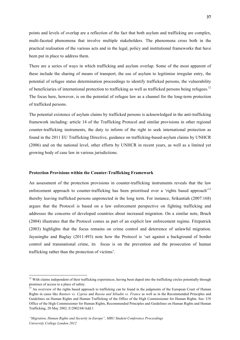points and levels of overlap are a reflection of the fact that both asylum and trafficking are complex, multi-faceted phenomena that involve multiple stakeholders. The phenomena cross both in the practical realisation of the various acts and in the legal, policy and institutional frameworks that have been put in place to address them.

There are a series of ways in which trafficking and asylum overlap. Some of the most apparent of these include the sharing of means of transport, the use of asylum to legitimise irregular entry, the potential of refugee status determination proceedings to identify trafficked persons, the vulnerability of beneficiaries of international protection to trafficking as well as trafficked persons being refugees.<sup>12</sup> The focus here, however, is on the potential of refugee law as a channel for the long-term protection of trafficked persons.

The potential existence of asylum claims by trafficked persons is acknowledged in the anti-trafficking framework including: article 14 of the Trafficking Protocol and similar provisions in other regional counter-trafficking instruments, the duty to inform of the right to seek international protection as found in the 2011 EU Trafficking Directive, guidance on trafficking-based-asylum claims by UNHCR (2006) and on the national level, other efforts by UNHCR in recent years, as well as a limited yet growing body of case law in various jurisdictions.

#### **Protection Provisions within the Counter-Trafficking Framework**

An assessment of the protection provisions in counter-trafficking instruments reveals that the law enforcement approach to counter-trafficking has been prioritised over a 'rights based approach'<sup>13</sup> thereby leaving trafficked persons unprotected in the long term. For instance, Srikantiah (2007:168) argues that the Protocol is based on a law enforcement perspective on fighting trafficking and addresses the concerns of developed countries about increased migration. On a similar note, Bruch (2004) illustrates that the Protocol comes as part of an explicit law enforcement regime. Fitzpatrick (2003) highlights that the focus remains on crime control and deterrence of unlawful migration. Jayasinghe and Baglay (2011:493) note how the Protocol is 'set against a background of border control and transnational crime, its focus is on the prevention and the prosecution of human trafficking rather than the protection of victims'.

<u> 1989 - Johann Stein, fransk politiker (d. 1989)</u>

<sup>&</sup>lt;sup>12</sup> With claims independent of their trafficking experiences, having been duped into the trafficking circles potentially through promises of access to a place of safety.

<sup>&</sup>lt;sup>13</sup> An overview of the rights based approach to trafficking can be found in the judgments of the European Court of Human Rights in cases like *Rantsev vs. Cyprus* and *Russia and Siliadin vs. France* as well as in the Recommended Principles and Guidelines on Human Rights and Human Trafficking of the Office of the High Commissioner for Human Rights. See: UN Office of the High Commissioner for Human Rights, Recommended Principles and Guidelines on Human Rights and Human Trafficking, 20 May 2002, E/2002/68/Add.1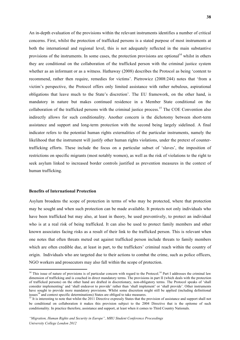An in-depth evaluation of the provisions within the relevant instruments identifies a number of critical concerns. First, whilst the protection of trafficked persons is a stated purpose of most instruments at both the international and regional level, this is not adequately reflected in the main substantive provisions of the instruments. In some cases, the protection provisions are optional<sup>14</sup> whilst in others they are conditional on the collaboration of the trafficked person with the criminal justice system whether as an informant or as a witness. Hathaway (2008) describes the Protocol as being 'content to recommend, rather then require, remedies for victims'. Pietrowicz (2008:244) notes that 'from a victim's perspective, the Protocol offers only limited assistance with rather nebulous, aspirational obligations that leave much to the State's discretion'. The EU framework, on the other hand, is mandatory in nature but makes continued residence in a Member State conditional on the collaboration of the trafficked persons with the criminal justice process.<sup>15</sup> The COE Convention also indirectly allows for such conditionality. Another concern is the dichotomy between short-term assistance and support and long-term protection with the second being largely sidelined. A final indicator refers to the potential human rights externalities of the particular instruments, namely the likelihood that the instrument will justify other human rights violations, under the pretext of countertrafficking efforts. These include the focus on a particular subset of 'slaves', the imposition of restrictions on specific migrants (most notably women), as well as the risk of violations to the right to seek asylum linked to increased border controls justified as prevention measures in the context of human trafficking.

#### **Benefits of International Protection**

<u> 1989 - Johann Stein, fransk politiker (d. 1989)</u>

Asylum broadens the scope of protection in terms of who may be protected, where that protection may be sought and when such protection can be made available. It protects not only individuals who have been trafficked but may also, at least in theory, be used preventively, to protect an individual who is at a real risk of being trafficked. It can also be used to protect family members and other known associates facing risks as a result of their link to the trafficked person. This is relevant when one notes that often threats meted out against trafficked person include threats to family members which are often credible due, at least in part, to the traffickers' criminal reach within the country of origin. Individuals who are targeted due to their actions to combat the crime, such as police officers, NGO workers and prosecutors may also fall within the scope of protection.

<sup>&</sup>lt;sup>14</sup> This issue of nature of provisions is of particular concern with regard to the Protocol.<sup>14</sup> Part I addresses the criminal law dimension of trafficking and is couched in direct mandatory terms. The provisions in part II (which deals with the protection of trafficked persons) on the other hand are drafted in discretionary, non-obligatory terms. The Protocol speaks of 'shall consider implementing' and 'shall endeavor to provide' rather than 'shall implement' or 'shall provide'. Other instruments have sought to provide more mandatory provisions. Whilst some discretion might still be applied (including definitional issues<sup>14</sup> and context specific determinations) States are obliged to take measures.

 $\frac{15 \text{ It}}{15 \text{ It}}$  is interesting to note that whilst the 2011 Directive expressly States that the provision of assistance and support shall not be conditional on collaboration it makes this provision subject to the 2004 Directive that is the epitome of such conditionality. In practice therefore, assistance and support, at least when it comes to Third Country Nationals.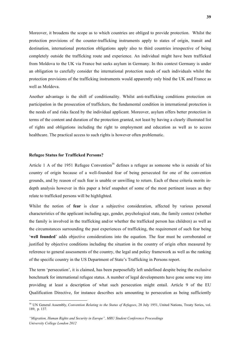Moreover, it broadens the scope as to which countries are obliged to provide protection. Whilst the protection provisions of the counter-trafficking instruments apply to states of origin, transit and destination, international protection obligations apply also to third countries irrespective of being completely outside the trafficking route and experience. An individual might have been trafficked from Moldova to the UK via France but seeks asylum in Germany. In this context Germany is under an obligation to carefully consider the international protection needs of such individuals whilst the protection provisions of the trafficking instruments would apparently only bind the UK and France as well as Moldova.

Another advantage is the shift of conditionality. Whilst anti-trafficking conditions protection on participation in the prosecution of traffickers, the fundamental condition in international protection is the needs of and risks faced by the individual applicant. Moreover, asylum offers better protection in terms of the content and duration of the protection granted, not least by having a clearly illustrated list of rights and obligations including the right to employment and education as well as to access healthcare. The practical access to such rights is however often problematic.

#### **Refugee Status for Trafficked Persons?**

<u> 1989 - Johann Stein, fransk politiker (d. 1989)</u>

Article 1 A of the 1951 Refugee Convention<sup>16</sup> defines a refugee as someone who is outside of his country of origin because of a well-founded fear of being persecuted for one of the convention grounds, and by reason of such fear is unable or unwilling to return. Each of these criteria merits indepth analysis however in this paper a brief snapshot of some of the most pertinent issues as they relate to trafficked persons will be highlighted.

Whilst the notion of **fear** is clear a subjective consideration, affected by various personal characteristics of the applicant including age, gender, psychological state, the family context (whether the family is involved in the trafficking and/or whether the trafficked person has children) as well as the circumstances surrounding the past experiences of trafficking, the requirement of such fear being '**well founded**' adds objective considerations into the equation. The fear must be corroborated or justified by objective conditions including the situation in the country of origin often measured by reference to general assessments of the country, the legal and policy framework as well as the ranking of the specific country in the US Department of State's Trafficking in Persons report.

The term 'persecution', it is claimed, has been purposefully left undefined despite being the exclusive benchmark for international refugee status. A number of legal developments have gone some way into providing at least a description of what such persecution might entail. Article 9 of the EU Qualification Directive, for instance describes acts amounting to persecution as being sufficiently

<sup>&</sup>lt;sup>16</sup> UN General Assembly, *Convention Relating to the Status of Refugees*, 28 July 1951, United Nations, Treaty Series, vol. 189, p. 137.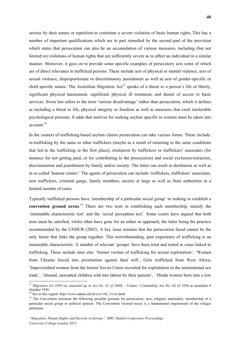serious by their nature or repetition to constitute a severe violation of basic human rights. This has a number of important qualifications which are in part remedied by the second part of the provision which states that persecution can also be an accumulation of various measures, including (but not limited to) violations of human rights that are sufficiently severe as to affect an individual in a similar manner. Moreover, it goes on to provide some specific examples of persecutory acts some of which are of direct relevance to trafficked persons. These include acts of physical or mental violence, acts of sexual violence, disproportionate or discriminatory punishment as well as acts of gender-specific or child specific nature. The Australian Migration  $Act^{17}$  speaks of a threat to a person's life or liberty, significant physical harassment, significant physical ill treatment, and denial of access to basic services. Swiss law refers to the term 'serious disadvantage' rather than persecution, which it defines as including a threat to life, physical integrity or freedom as well as measures that exert intolerable psychological pressure. It adds that motives for seeking asylum specific to women must be taken into account.<sup>18</sup>

In the context of trafficking-based asylum claims persecution can take various forms. These include: re-trafficking by the same or other traffickers (maybe as a result of returning to the same conditions that led to the trafficking in the first place), retaliation by traffickers or traffickers' associates (for instance for not getting paid, or for contributing to the prosecution) and social exclusion/ostracism, discrimination and punishment by family and/or society. The latter can result in destitution as well as in so called 'honour crimes'. The agents of persecution can include: traffickers, traffickers' associates, new traffickers, criminal gangs, family members, society at large as well as State authorities in a limited number of cases.

Typically trafficked persons have 'membership of a particular social group' in seeking to establish a **convention ground nexus**. <sup>19</sup> There are two tests in establishing such membership, namely the 'immutable characteristic test' and the 'social perception test'. Some courts have argued that both tests must be satisfied, whilst other have gone for an either or approach, the latter being the practice recommended by the UNHCR (2002). A key issue remains that the persecution faced cannot be the only factor that links the group together. This notwithstanding, past experience of trafficking is an immutable characteristic. A number of relevant 'groups' have been tried and tested in cases linked to trafficking. These include inter alia: 'former victims of trafficking for sexual exploitation', 'Women from Ukraine forced into prostitution against their will', Girls trafficked from West Africa, 'Impoverished women from the former Soviet Union recruited for exploitation in the international sex trade', 'Abused, unwanted children sold into labour by their parents', 'Hindu women born into a low

<u> 1989 - Johann Stein, fransk politiker (d. 1989)</u>

<sup>17</sup> *Migration Act 1958 (as amended up to Act No. 91 of 2009) - Volume 1* [Australia], Act No. 62 of 1958 as amended, 8 October 1958.<br><sup>18</sup> See in this regard: http://www.admin.ch/ch/e/rs/142\_31/a3.html.

<sup>&</sup>lt;sup>19</sup> The Convention mentions the following possible grounds for persecution: race, religion, nationality, membership of a particular social group or political opinion. The Convention Ground nexus is a fundamental requirement of the refugee definition.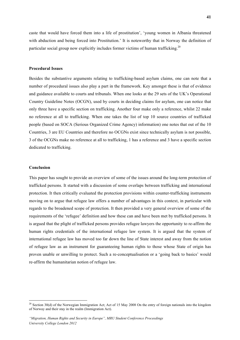caste that would have forced them into a life of prostitution', 'young women in Albania threatened with abduction and being forced into Prostitution.' It is noteworthy that in Norway the definition of particular social group now explicitly includes former victims of human trafficking.<sup>20</sup>

#### **Procedural Issues**

Besides the substantive arguments relating to trafficking-based asylum claims, one can note that a number of procedural issues also play a part in the framework. Key amongst these is that of evidence and guidance available to courts and tribunals. When one looks at the 29 sets of the UK's Operational Country Guideline Notes (OCGN), used by courts in deciding claims for asylum, one can notice that only three have a specific section on trafficking. Another four make only a reference, whilst 22 make no reference at all to trafficking. When one takes the list of top 10 source countries of trafficked people (based on SOCA (Serious Organized Crime Agency) information) one notes that out of the 10 Countries, 3 are EU Countries and therefore no OCGNs exist since technically asylum is not possible, 3 of the OCGNs make no reference at all to trafficking, 1 has a reference and 3 have a specific section dedicated to trafficking.

#### **Conclusion**

This paper has sought to provide an overview of some of the issues around the long-term protection of trafficked persons. It started with a discussion of some overlaps between trafficking and international protection. It then critically evaluated the protection provisions within counter-trafficking instruments moving on to argue that refugee law offers a number of advantages in this context, in particular with regards to the broadened scope of protection. It then provided a very general overview of some of the requirements of the 'refugee' definition and how these can and have been met by trafficked persons. It is argued that the plight of trafficked persons provides refugee lawyers the opportunity to re-affirm the human rights credentials of the international refugee law system. It is argued that the system of international refugee law has moved too far down the line of State interest and away from the notion of refugee law as an instrument for guaranteeing human rights to those whose State of origin has proven unable or unwilling to protect. Such a re-conceptualisation or a 'going back to basics' would re-affirm the humanitarian notion of refugee law.

<u> 1989 - Johann Stein, fransk politiker (d. 1989)</u>

 $20$  Section 30(d) of the Norwegian Immigration Act; Act of 15 May 2008 On the entry of foreign nationals into the kingdom of Norway and their stay in the realm (Immigration Act).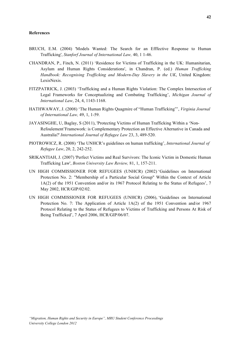#### **References**

- BRUCH, E.M. (2004) 'Models Wanted: The Search for an Efffective Response to Human Trafficking', *Stanforf Journal of International Law,* 40, 1 1-46.
- CHANDRAN, P., Finch, N. (2011) 'Residence for Victims of Trafficking in the UK: Humanitarian, Asylum and Human Rights Considerations', in Chandran, P. (ed.) *Human Trafficking Handbook: Recognising Trafficking and Modern-Day Slavery in the UK*, United Kingdom: LexisNexis.
- FITZPATRICK, J. (2003) 'Trafficking and a Human Rights Violation: The Complex Intersection of Legal Frameworks for Conceptualizing and Combating Trafficking', *Michigan Journal of International Law*, 24, 4, 1143-1168.
- HATHWAWAY, J. (2008) 'The Human Rights Quagmire of "Human Trafficking"', *Virginia Journal of International Law,* 49, 1, 1-59.
- JAYASINGHE, U, Baglay, S (2011), 'Protecting Victims of Human Trafficking Within a 'Non-Refoulement'Framework: is Complementary Protection an Effective Alternative in Canada and Australia?' *International Journal of Refugee Law* 23, 3, 489-520.
- PIOTROWICZ, R. (2008) 'The UNHCR's guidelines on human trafficking', *International Journal of Refugee Law*, 20, 2, 242-252.
- SRIKANTIAH, J. (2007) 'Perfect Victims and Real Survivors: The Iconic Victim in Domestic Human Trafficking Law', *Boston University Law Review,* 81, 1, 157-211.
- UN HIGH COMMISSIONER FOR REFUGEES (UNHCR) (2002) 'Guidelines on International Protection No. 2: "Membership of a Particular Social Group" Within the Context of Article 1A(2) of the 1951 Convention and/or its 1967 Protocol Relating to the Status of Refugees', 7 May 2002, HCR/GIP/02/02.
- UN HIGH COMMISSIONER FOR REFUGEES (UNHCR) (2006), 'Guidelines on International Protection No. 7: The Application of Article 1A(2) of the 1951 Convention and/or 1967 Protocol Relating to the Status of Refugees to Victims of Trafficking and Persons At Risk of Being Trafficked', 7 April 2006, HCR/GIP/06/07.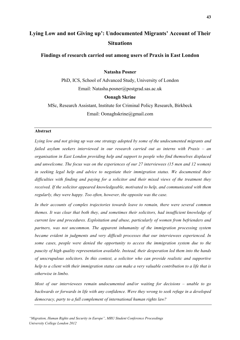# **Lying Low and not Giving up': Undocumented Migrants' Account of Their Situations**

## **Findings of research carried out among users of Praxis in East London**

## **Natasha Posner**

PhD, ICS, School of Advanced Study, University of London Email: Natasha.posner@postgrad.sas.ac.uk

#### **Oonagh Skrine**

MSc, Research Assistant, Institute for Criminal Policy Research, Birkbeck Email: Oonaghskrine@gmail.com

## **Abstract**

*Lying low and not giving up was one strategy adopted by some of the undocumented migrants and failed asylum seekers interviewed in our research carried out as interns with Praxis – an organisation in East London providing help and support to people who find themselves displaced and unwelcome. The focus was on the experiences of our 27 interviewees (15 men and 12 women) in seeking legal help and advice to negotiate their immigration status. We documented their difficulties with finding and paying for a solicitor and their mixed views of the treatment they received. If the solicitor appeared knowledgeable, motivated to help, and communicated with them regularly, they were happy. Too often, however, the opposite was the case.* 

*In their accounts of complex trajectories towards leave to remain, there were several common themes. It was clear that both they, and sometimes their solicitors, had insufficient knowledge of current law and procedures. Exploitation and abuse, particularly of women from befrienders and partners, was not uncommon. The apparent inhumanity of the immigration processing system became evident in judgments and very difficult processes that our interviewees experienced. In some cases, people were denied the opportunity to access the immigration system due to the paucity of high quality representation available. Instead, their desperation led them into the hands of unscrupulous solicitors. In this context, a solicitor who can provide realistic and supportive help to a client with their immigration status can make a very valuable contribution to a life that is otherwise in limbo.*

*Most of our interviewees remain undocumented and/or waiting for decisions – unable to go backwards or forwards in life with any confidence. Were they wrong to seek refuge in a developed democracy, party to a full complement of international human rights law?*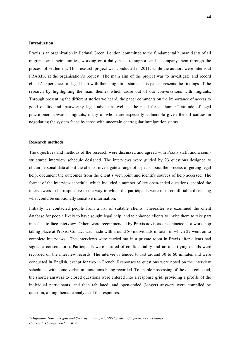#### **Introduction**

Praxis is an organization in Bethnal Green, London, committed to the fundamental human rights of all migrants and their families, working on a daily basis to support and accompany them through the process of settlement. This research project was conducted in 2011, while the authors were interns at PRAXIS, at the organisation's request. The main aim of the project was to investigate and record clients' experiences of legal help with their migration status. This paper presents the findings of the research by highlighting the main themes which arose out of our conversations with migrants. Through presenting the different stories we heard, the paper comments on the importance of access to good quality and trustworthy legal advice as well as the need for a "human" attitude of legal practitioners towards migrants, many of whom are especially vulnerable given the difficulties in negotiating the system faced by those with uncertain or irregular immigration status.

#### **Research methods**

The objectives and methods of the research were discussed and agreed with Praxis staff, and a semistructured interview schedule designed. The interviews were guided by 23 questions designed to obtain personal data about the clients, investigate a range of aspects about the process of getting legal help, document the outcomes from the client's viewpoint and identify sources of help accessed. The format of the interview schedule, which included a number of key open-ended questions, enabled the interviewers to be responsive to the way in which the participants were most comfortable disclosing what could be emotionally sensitive information.

Initially we contacted people from a list of suitable clients. Thereafter we examined the client database for people likely to have sought legal help, and telephoned clients to invite them to take part in a face to face interview. Others were recommended by Praxis advisors or contacted at a workshop taking place at Praxis. Contact was made with around 80 individuals in total, of which 27 went on to complete interviews. The interviews were carried out in a private room in Praxis after clients had signed a consent form. Participants were assured of confidentiality and no identifying details were recorded on the interview records. The interviews tended to last around 30 to 60 minutes and were conducted in English, except for two in French. Responses to questions were noted on the interview schedules, with some verbatim quotations being recorded. To enable processing of the data collected, the shorter answers to closed questions were entered into a response grid, providing a profile of the individual participants, and then tabulated; and open-ended (longer) answers were compiled by question, aiding thematic analysis of the responses.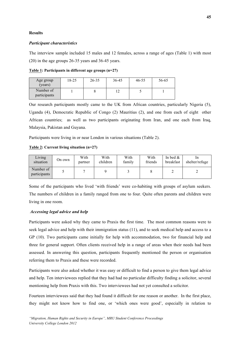#### **Results**

#### *Participant characteristics*

The interview sample included 15 males and 12 females, across a range of ages (Table 1) with most (20) in the age groups 26-35 years and 36-45 years.

**Table 1: Participants in different age groups (n=27)**

| Age group<br>(years)      | $18 - 25$ | $26 - 35$ | 36-45 | 46-55 | 56-65 |
|---------------------------|-----------|-----------|-------|-------|-------|
| Number of<br>participants |           |           |       |       |       |

Our research participants mostly came to the UK from African countries, particularly Nigeria (5), Uganda (4), Democratic Republic of Congo (2) Mauritius (2), and one from each of eight other African countries; as well as two participants originating from Iran, and one each from Iraq, Malaysia, Pakistan and Guyana.

Participants were living in or near London in various situations (Table 2).

#### **Table 2: Current living situation (n=27)**

| Living<br>situation       | On own | With<br>partner | With<br>children | With<br>family | With<br>friends | In bed $\&$<br>breakfast | shelter/refuge |
|---------------------------|--------|-----------------|------------------|----------------|-----------------|--------------------------|----------------|
| Number of<br>participants |        |                 |                  |                |                 |                          |                |

Some of the participants who lived 'with friends' were co-habiting with groups of asylum seekers. The numbers of children in a family ranged from one to four. Quite often parents and children were living in one room.

#### *Accessing legal advice and help*

Participants were asked why they came to Praxis the first time. The most common reasons were to seek legal advice and help with their immigration status (11), and to seek medical help and access to a GP (10). Two participants came initially for help with accommodation, two for financial help and three for general support. Often clients received help in a range of areas when their needs had been assessed. In answering this question, participants frequently mentioned the person or organisation referring them to Praxis and these were recorded.

Participants were also asked whether it was easy or difficult to find a person to give them legal advice and help. Ten interviewees replied that they had had no particular difficulty finding a solicitor, several mentioning help from Praxis with this. Two interviewees had not yet consulted a solicitor.

Fourteen interviewees said that they had found it difficult for one reason or another. In the first place, they might not know how to find one, or 'which ones were good', especially in relation to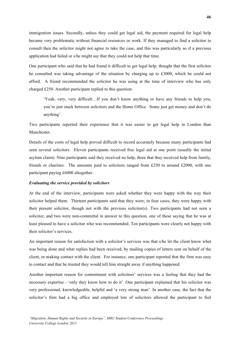immigration issues. Secondly, unless they could get legal aid, the payment required for legal help became very problematic without financial resources or work. If they managed to find a solicitor to consult then the solicitor might not agree to take the case, and this was particularly so if a previous application had failed or s/he might say that they could not help that time.

One participant who said that he had found it difficult to get legal help, thought that the first solicitor he consulted was taking advantage of the situation by charging up to £3000, which he could not afford. A friend recommended the solicitor he was using at the time of interview who has only charged £250. Another participant replied to this question:

'Yeah, very, very difficult…If you don't know anything or have any friends to help you, you're just stuck between solicitors and the Home Office. Some just get money and don't do anything'.

Two participants reported their experience that it was easier to get legal help in London than Manchester.

Details of the costs of legal help proved difficult to record accurately because many participants had seen several solicitors. Eleven participants received free legal aid at one point (usually the initial asylum claim). Nine participants said they received no help, three that they received help from family, friends or charities. The amounts paid to solicitors ranged from £250 to around £2000, with one participant paying £6000 altogether.

## *Evaluating the service provided by solicitors*

At the end of the interview, participants were asked whether they were happy with the way their solicitor helped them. Thirteen participants said that they were; in four cases, they were happy with their present solicitor, though not with the previous solicitor(s). Two participants had not seen a solicitor, and two were non-committal in answer to this question, one of these saying that he was at least pleased to have a solicitor who was recommended. Ten participants were clearly not happy with their solicitor's services.

An important reason for satisfaction with a solicitor's services was that s/he let the client know what was being done and what replies had been received, by mailing copies of letters sent on behalf of the client, or making contact with the client. For instance, one participant reported that the firm was easy to contact and that he trusted they would tell him straight away if anything happened.

Another important reason for contentment with solicitors' services was a feeling that they had the necessary expertise - 'only they know how to do it'. One participant explained that his solicitor was very professional, knowledgeable, helpful and 'a very strong man'. In another case, the fact that the solicitor's firm had a big office and employed lots of solicitors allowed the participant to feel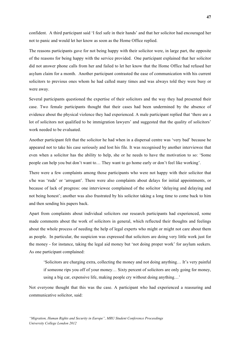confident. A third participant said 'I feel safe in their hands' and that her solicitor had encouraged her not to panic and would let her know as soon as the Home Office replied.

The reasons participants gave for not being happy with their solicitor were, in large part, the opposite of the reasons for being happy with the service provided. One participant explained that her solicitor did not answer phone calls from her and failed to let her know that the Home Office had refused her asylum claim for a month. Another participant contrasted the ease of communication with his current solicitors to previous ones whom he had called many times and was always told they were busy or were away.

Several participants questioned the expertise of their solicitors and the way they had presented their case. Two female participants thought that their cases had been undermined by the absence of evidence about the physical violence they had experienced. A male participant replied that 'there are a lot of solicitors not qualified to be immigration lawyers' and suggested that the quality of solicitors' work needed to be evaluated.

Another participant felt that the solicitor he had when in a dispersal centre was 'very bad' because he appeared not to take his case seriously and lost his file. It was recognised by another interviewee that even when a solicitor has the ability to help, she or he needs to have the motivation to so: 'Some people can help you but don't want to… They want to go home early or don't feel like working'.

There were a few complaints among those participants who were not happy with their solicitor that s/he was 'rude' or 'arrogant'. There were also complaints about delays for initial appointments, or because of lack of progress: one interviewee complained of the solicitor 'delaying and delaying and not being honest'; another was also frustrated by his solicitor taking a long time to come back to him and then sending his papers back.

Apart from complaints about individual solicitors our research participants had experienced, some made comments about the work of solicitors in general, which reflected their thoughts and feelings about the whole process of needing the help of legal experts who might or might not care about them as people. In particular, the suspicion was expressed that solicitors are doing very little work just for the money - for instance, taking the legal aid money but 'not doing proper work' for asylum seekers. As one participant complained:

'Solicitors are charging extra, collecting the money and not doing anything… It's very painful if someone rips you off of your money… Sixty percent of solicitors are only going for money, using a big car, expensive life, making people cry without doing anything…'

Not everyone thought that this was the case. A participant who had experienced a reassuring and communicative solicitor, said: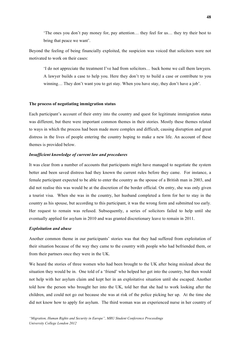'The ones you don't pay money for, pay attention… they feel for us… they try their best to bring that peace we want'.

Beyond the feeling of being financially exploited, the suspicion was voiced that solicitors were not motivated to work on their cases:

'I do not appreciate the treatment I've had from solicitors… back home we call them lawyers. A lawyer builds a case to help you. Here they don't try to build a case or contribute to you winning… They don't want you to get stay. When you have stay, they don't have a job'.

#### **The process of negotiating immigration status**

Each participant's account of their entry into the country and quest for legitimate immigration status was different, but there were important common themes in their stories. Mostly these themes related to ways in which the process had been made more complex and difficult, causing disruption and great distress in the lives of people entering the country hoping to make a new life. An account of these themes is provided below.

#### *Insufficient knowledge of current law and procedures*

It was clear from a number of accounts that participants might have managed to negotiate the system better and been saved distress had they known the current rules before they came. For instance, a female participant expected to be able to enter the country as the spouse of a British man in 2003, and did not realise this was would be at the discretion of the border official. On entry, she was only given a tourist visa. When she was in the country, her husband completed a form for her to stay in the country as his spouse, but according to this participant, it was the wrong form and submitted too early. Her request to remain was refused. Subsequently, a series of solicitors failed to help until she eventually applied for asylum in 2010 and was granted discretionary leave to remain in 2011.

#### *Exploitation and abuse*

Another common theme in our participants' stories was that they had suffered from exploitation of their situation because of the way they came to the country with people who had befriended them, or from their partners once they were in the UK.

We heard the stories of three women who had been brought to the UK after being mislead about the situation they would be in. One told of a 'friend' who helped her get into the country, but then would not help with her asylum claim and kept her in an exploitative situation until she escaped. Another told how the person who brought her into the UK, told her that she had to work looking after the children, and could not go out because she was at risk of the police picking her up. At the time she did not know how to apply for asylum. The third woman was an experienced nurse in her country of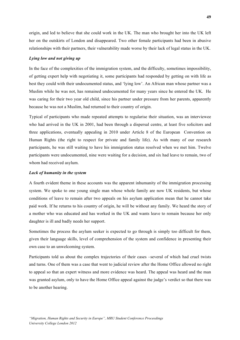origin, and led to believe that she could work in the UK. The man who brought her into the UK left her on the outskirts of London and disappeared. Two other female participants had been in abusive relationships with their partners, their vulnerability made worse by their lack of legal status in the UK.

#### *Lying low and not giving up*

In the face of the complexities of the immigration system, and the difficulty, sometimes impossibility, of getting expert help with negotiating it, some participants had responded by getting on with life as best they could with their undocumented status, and 'lying low'. An African man whose partner was a Muslim while he was not, has remained undocumented for many years since he entered the UK. He was caring for their two year old child, since his partner under pressure from her parents, apparently because he was not a Muslim, had returned to their country of origin.

Typical of participants who made repeated attempts to regularise their situation, was an interviewee who had arrived in the UK in 2001, had been through a dispersal centre, at least five solicitors and three applications, eventually appealing in 2010 under Article 8 of the European Convention on Human Rights (the right to respect for private and family life). As with many of our research participants, he was still waiting to have his immigration status resolved when we met him. Twelve participants were undocumented, nine were waiting for a decision, and six had leave to remain, two of whom had received asylum.

#### *Lack of humanity in the system*

A fourth evident theme in these accounts was the apparent inhumanity of the immigration processing system. We spoke to one young single man whose whole family are now UK residents, but whose conditions of leave to remain after two appeals on his asylum application mean that he cannot take paid work. If he returns to his country of origin, he will be without any family. We heard the story of a mother who was educated and has worked in the UK and wants leave to remain because her only daughter is ill and badly needs her support.

Sometimes the process the asylum seeker is expected to go through is simply too difficult for them, given their language skills, level of comprehension of the system and confidence in presenting their own case to an unwelcoming system.

Participants told us about the complex trajectories of their cases –several of which had cruel twists and turns. One of them was a case that went to judicial review after the Home Office allowed no right to appeal so that an expert witness and more evidence was heard. The appeal was heard and the man was granted asylum, only to have the Home Office appeal against the judge's verdict so that there was to be another hearing.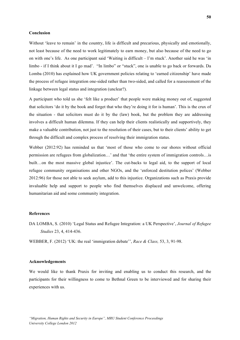#### **Conclusion**

Without 'leave to remain' in the country, life is difficult and precarious, physically and emotionally, not least because of the need to work legitimately to earn money, but also because of the need to go on with one's life. As one participant said 'Waiting is difficult – I'm stuck'. Another said he was 'in limbo - if I think about it I go mad'. "In limbo" or "stuck", one is unable to go back or forwards. Da Lomba (2010) has explained how UK government policies relating to 'earned citizenship' have made the process of refugee integration one-sided rather than two-sided, and called for a reassessment of the linkage between legal status and integration (unclear?).

A participant who told us she 'felt like a product' that people were making money out of, suggested that solicitors 'do it by the book and forget that who they're doing it for is human'. This is the crux of the situation - that solicitors must do it by the (law) book, but the problem they are addressing involves a difficult human dilemma. If they can help their clients realistically and supportively, they make a valuable contribution, not just to the resolution of their cases, but to their clients' ability to get through the difficult and complex process of resolving their immigration status.

Webber (2012:92) has reminded us that 'most of those who come to our shores without official permission are refugees from globalization…' and that 'the entire system of immigration controls…is built…on the most massive global injustice'. The cut-backs to legal aid, to the support of local refugee community organisations and other NGOs, and the 'enforced destitution polices' (Webber 2012:96) for those not able to seek asylum, add to this injustice. Organizations such as Praxis provide invaluable help and support to people who find themselves displaced and unwelcome, offering humanitarian aid and some community integration.

#### **References**

DA LOMBA, S. (2010) 'Legal Status and Refugee Integration: a UK Perspective', *Journal of Refugee Studies* 23, 4, 414-436.

WEBBER, F. (2012) 'UK: the real 'immigration debate'', *Race & Class,* 53, 3, 91-98.

#### **Acknowledgements**

We would like to thank Praxis for inviting and enabling us to conduct this research, and the participants for their willingness to come to Bethnal Green to be interviewed and for sharing their experiences with us.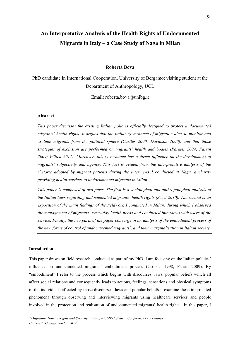# **An Interpretative Analysis of the Health Rights of Undocumented Migrants in Italy – a Case Study of Naga in Milan**

#### **Roberta Bova**

PhD candidate in International Cooperation, University of Bergamo; visiting student at the Department of Anthropology, UCL

Email: roberta.bova@unibg.it

#### **Abstract**

*This paper discusses the existing Italian policies officially designed to protect undocumented migrants' health rights. It argues that the Italian governance of migration aims to monitor and exclude migrants from the political sphere (Castles 2000; Davidson 2000), and that those strategies of exclusion are performed on migrants' health and bodies (Farmer 2004; Fassin 2009; Willen 2011). Moreover, this governance has a direct influence on the development of migrants' subjectivity and agency. This fact is evident from the interpretative analysis of the rhetoric adopted by migrant patients during the interviews I conducted at Naga, a charity providing health services to undocumented migrants in Milan.* 

*This paper is composed of two parts. The first is a sociological and anthropological analysis of the Italian laws regarding undocumented migrants' health rights (Scevi 2010). The second is an exposition of the main findings of the fieldwork I conducted in Milan, during which I observed the management of migrants' every-day health needs and conducted interviews with users of the service. Finally, the two parts of the paper converge in an analysis of the embodiment process of the new forms of control of undocumented migrants', and their marginalisation in Italian society.*

#### **Introduction**

This paper draws on field research conducted as part of my PhD. I am focusing on the Italian policies' influence on undocumented migrants' embodiment process (Csorsas 1998; Fassin 2009). By "embodiment" I refer to the process which begins with discourses, laws, popular beliefs which all affect social relations and consequently leads to actions, feelings, sensations and physical symptoms of the individuals affected by those discourses, laws and popular beliefs. I examine these interrelated phenomena through observing and interviewing migrants using healthcare services and people involved in the protection and realisation of undocumented migrants' health rights. In this paper, I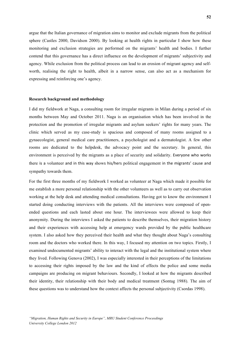argue that the Italian governance of migration aims to monitor and exclude migrants from the political sphere (Castles 2000, Davidson 2000). By looking at health rights in particular I show how these monitoring and exclusion strategies are performed on the migrants' health and bodies. I further contend that this governance has a direct influence on the development of migrants' subjectivity and agency. While exclusion from the political process can lead to an erosion of migrant agency and selfworth, realising the right to health, albeit in a narrow sense, can also act as a mechanism for expressing and reinforcing one's agency.

#### **Research background and methodology**

I did my fieldwork at Naga, a consulting room for irregular migrants in Milan during a period of six months between May and October 2011. Naga is an organisation which has been involved in the protection and the promotion of irregular migrants and asylum seekers' rights for many years. The clinic which served as my case-study is spacious and composed of many rooms assigned to a gynaecologist, general medical care practitioners, a psychologist and a dermatologist. A few other rooms are dedicated to the helpdesk, the advocacy point and the secretary. In general, this environment is perceived by the migrants as a place of security and solidarity. Everyone who works there is a volunteer and in this way shows his/hers political engagement in the migrants' cause and sympathy towards them.

For the first three months of my fieldwork I worked as volunteer at Naga which made it possible for me establish a more personal relationship with the other volunteers as well as to carry out observation working at the help desk and attending medical consultations. Having got to know the environment I started doing conducting interviews with the patients. All the interviews were composed of openended questions and each lasted about one hour. The interviewees were allowed to keep their anonymity. During the interviews I asked the patients to describe themselves, their migration history and their experiences with accessing help at emergency wards provided by the public healthcare system. I also asked how they perceived their health and what they thought about Naga's consulting room and the doctors who worked there. In this way, I focused my attention on two topics. Firstly, I examined undocumented migrants' ability to interact with the legal and the institutional system where they lived. Following Genova (2002), I was especially interested in their perceptions of the limitations to accessing their rights imposed by the law and the kind of effects the police and some media campaigns are producing on migrant behaviours. Secondly, I looked at how the migrants described their identity, their relationship with their body and medical treatment (Sontag 1988). The aim of these questions was to understand how the context affects the personal subjectivity (Csordas 1998).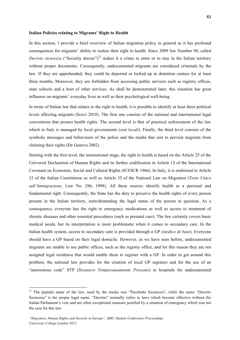#### **Italian Policies relating to Migrants' Right to Health**

In this section, I provide a brief overview of Italian migration policy in general as it has profound consequences for migrants' ability to realise their right to health. Since 2009 law Number 94, called *Decreto sicurezza* ("Security decree")<sup>21</sup> makes it a crime to enter or to stay in the Italian territory without proper documents. Consequently, undocumented migrants are considered criminals by the law. If they are apprehended, they could be deported or locked up in detention centres for at least three months. Moreover, they are forbidden from accessing public services such as registry offices, state schools and a host of other services. As shall be demonstrated later, this situation has great influence on migrants' everyday lives as well as their psychological well-being.

In terms of Italian law that relates to the right to health, it is possible to identify at least three political levels affecting migrants (Scevi 2010). The first one consists of the national and international legal conventions that protect health rights. The second level is that of practical enforcement of the law which in Italy is managed by local governments (*enti locali*). Finally, the third level consists of the symbolic messages and behaviours of the police and the media that aim to prevent migrants from claiming their rights (De Genova 2002).

Starting with the first level, the international stage, the right to health is based on the Article 25 of the Universal Declaration of Human Rights and its further codification in Article 12 of the International Covenant on Economic, Social and Cultural Rights (ICESCR 1966). In Italy, it is enshrined in Article 32 of the Italian Constitution as well as Article 35 of the National Law on Migration (*Testo Unico sull'Immigrazione,* Law No. 286, 1998). All these sources identify health as a personal and fundamental right. Consequently, the State has the duty to preserve the health rights of every person present in the Italian territory, notwithstanding the legal status of the person in question. As a consequence, everyone has the right to emergency medications as well as access to treatment of chronic diseases and other essential procedures (such as prenatal care). The law certainly covers basic medical needs, but its interpretation is more problematic when it comes to secondary care. In the Italian health system, access to secondary care is provided through a GP (*medico di base*). Everyone should have a GP based on their legal domicile. However, as we have seen before, undocumented migrants are unable to use public offices, such as the registry office, and for this reason they are not assigned legal residence that would enable them to register with a GP. In order to get around this problem, the national law provides for the creation of local GP registers and for the use of an "anonymous code" STP (*Straniero Temporaneamente Presente*) in hospitals for undocumented

<u> 1989 - Johann Stein, fransk politiker (d. 1989)</u>

<sup>&</sup>lt;sup>21</sup> The popular name of the law, used by the media was "Pacchetto Sicurezza", while the name "Decreto" Sicurezza" is the proper legal name. "Decreto" normally refers to laws which become effective without the Italian Parliament's vote and are often exceptional measure justified by a situation of emergency which was not the case for this law.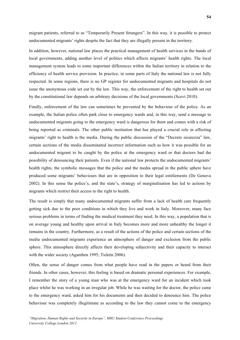migrant patients, referred to as "Temporarily Present Strangers". In this way, it is possible to protect undocumented migrants' rights despite the fact that they are illegally present in the territory.

In addition, however, national law places the practical management of health services in the hands of local governments, adding another level of politics which affects migrants' health rights. The local management system leads to some important differences within the Italian territory in relation to the efficiency of health service provision. In practice, in some parts of Italy the national law is not fully respected. In some regions, there is no GP register for undocumented migrants and hospitals do not issue the anonymous code set out by the law. This way, the enforcement of the right to health set out by the constitutional law depends on arbitrary decisions of the local governments (Scevi 2010).

Finally, enforcement of the law can sometimes be prevented by the behaviour of the police. As an example, the Italian police often park close to emergency wards and, in this way, send a message to undocumented migrants going to the emergency ward is dangerous for them and comes with a risk of being reported as criminals. The other public institution that has played a crucial role in affecting migrants' right to health is the media. During the public discussion of the "Decreto sicurezza" law, certain sections of the media disseminated incorrect information such as how it was possible for an undocumented migrant to be caught by the police at the emergency ward or that doctors had the possibility of denouncing their patients. Even if the national law protects the undocumented migrants' health rights, the symbolic messages that the police and the media spread in the public sphere have produced some migrants' behaviours that are in opposition to their legal entitlements (De Genova 2002). In this sense the police's, and the state's, strategy of marginalisation has led to actions by migrants which restrict their access to the right to health.

The result is simply that many undocumented migrants suffer from a lack of health care frequently getting sick due to the poor conditions in which they live and work in Italy. Moreover, many face serious problems in terms of finding the medical treatment they need. In this way, a population that is on average young and healthy upon arrival in Italy becomes more and more unhealthy the longer it remains in the country. Furthermore, as a result of the actions of the police and certain sections of the media undocumented migrants experience an atmosphere of danger and exclusion from the public sphere. This atmosphere directly affects their developing subjectivity and their capacity to interact with the wider society (Agamben 1995; Ticktin 2006).

Often, the sense of danger comes from what people have read in the papers or heard from their friends. In other cases, however, this feeling is based on dramatic personal experiences. For example, I remember the story of a young man who was at the emergency ward for an incident which took place whilst he was working in an irregular job. While he was waiting for the doctor, the police came to the emergency ward, asked him for his documents and then decided to denounce him. The police behaviour was completely illegitimate as according to the law they cannot come to the emergency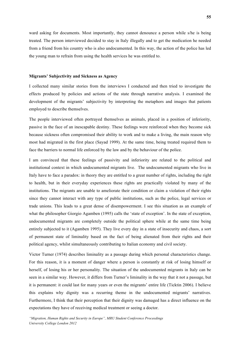ward asking for documents. Most importantly, they cannot denounce a person while s/he is being treated. The person interviewed decided to stay in Italy illegally and to get the medication he needed from a friend from his country who is also undocumented. In this way, the action of the police has led the young man to refrain from using the health services he was entitled to.

#### **Migrants' Subjectivity and Sickness as Agency**

I collected many similar stories from the interviews I conducted and then tried to investigate the effects produced by policies and actions of the state through narrative analysis. I examined the development of the migrants' subjectivity by interpreting the metaphors and images that patients employed to describe themselves.

The people interviewed often portrayed themselves as animals, placed in a position of inferiority, passive in the face of an inescapable destiny. These feelings were reinforced when they become sick because sickness often compromised their ability to work and to make a living, the main reason why most had migrated in the first place (Sayad 1999). At the same time, being treated required them to face the barriers to normal life enforced by the law and by the behaviour of the police.

I am convinced that these feelings of passivity and inferiority are related to the political and institutional context in which undocumented migrants live. The undocumented migrants who live in Italy have to face a paradox: in theory they are entitled to a great number of rights, including the right to health, but in their everyday experiences these rights are practically violated by many of the institutions. The migrants are unable to ameliorate their condition or claim a violation of their rights since they cannot interact with any type of public institutions, such as the police, legal services or trade unions. This leads to a great dense of disempowerment. I see this situation as an example of what the philosopher Giorgio Agamben (1995) calls the 'state of exception'. In the state of exception, undocumented migrants are completely outside the political sphere while at the same time being entirely subjected to it (Agamben 1995). They live every day in a state of insecurity and chaos, a sort of permanent state of liminality based on the fact of being alienated from their rights and their political agency, whilst simultaneously contributing to Italian economy and civil society.

Victor Turner (1974) describes liminality as a passage during which personal characteristics change. For this reason, it is a moment of danger where a person is constantly at risk of losing himself or herself, of losing his or her personality. The situation of the undocumented migrants in Italy can be seen in a similar way. However, it differs from Turner's liminality in the way that it not a passage, but it is permanent: it could last for many years or even the migrants' entire life (Ticktin 2006). I believe this explains why dignity was a recurring theme in the undocumented migrants' narratives. Furthermore, I think that their perception that their dignity was damaged has a direct influence on the expectations they have of receiving medical treatment or seeing a doctor.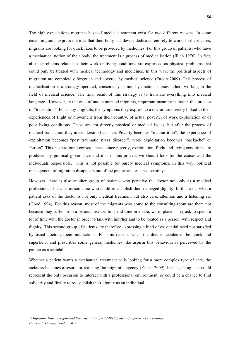The high expectations migrants have of medical treatment exist for two different reasons. In some cases, migrants express the idea that their body is a device dedicated entirely to work. In these cases, migrants are looking for quick fixes to be provided by medicines. For this group of patients, who have a mechanical notion of their body, the treatment is a process of medicalisation (Illich 1976). In fact, all the problems related to their work or living conditions are expressed as physical problems that could only be treated with medical technology and medicines. In this way, the political aspects of migration are completely forgotten and covered by medical science (Fassin 2009). This process of medicalisation is a strategy operated, consciously or not, by doctors, nurses, others working in the field of medical science. The final result of this strategy is to translate everything into medical language. However, in the case of undocumented migrants, important meaning is lost in this process of "translation". For many migrants, the symptoms they express to a doctor are directly linked to their experiences of flight or movement from their country, of actual poverty, of work exploitation or of poor living conditions. These are not directly physical or medical issues, but after the process of medical translation they are understood as such. Poverty becomes "malnutrition", the experience of exploitation becomes "post traumatic stress disorder", work exploitation becomes "backache" or "stress". This has profound consequences: since poverty, exploitation, flight and living conditions are produced by political governance and it is in this process we should look for the causes and the individuals responsible. This is not possible for purely medical symptoms. In this way, political management of migration disappears out of the picture and escapes scrutiny.

However, there is also another group of patients who perceive the doctor not only as a medical professional, but also as someone who could re-establish their damaged dignity. In this case, what a patient asks of the doctor is not only medical treatment but also care, attention and a listening ear (Good 1994). For this reason, most of the migrants who come to the consulting room are there not because they suffer from a serious disease, to spend time in a safe, warm place. They ask to spend a lot of time with the doctor in order to talk with him/her and to be treated as a person, with respect and dignity. This second group of patients are therefore expressing a kind of existential need not satisfied by usual doctor-patient interactions. For this reason, when the doctor decides to be quick and superficial and prescribes some general medicines like aspirin this behaviour is perceived by the patient as a scandal.

Whether a patient wants a mechanical treatment or is looking for a more complex type of care, the sickness becomes a resort for realising the migrant's agency (Fassin 2009). In fact, being sick could represent the only occasion to interact with a professional environment, or could be a chance to find solidarity and finally to re-establish their dignity as an individual.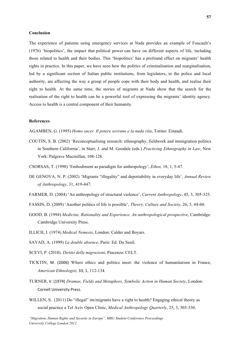#### **Conclusion**

The experience of patients using emergency services at Nada provides an example of Foucault's (1976) 'biopolitics', the impact that political power can have on different aspects of life, including those related to health and their bodies. This 'biopolitics' has a profound effect on migrants' health rights in practice. In this paper, we have seen how the politics of criminalisation and marginalisation, led by a significant section of Italian public institutions, from legislators, to the police and local authority, are affecting the way a group of people cope with their body and health, and realise their right to health. At the same time, the stories of migrants at Nada show that the search for the realisation of the right to health can be a powerful tool of expressing the migrants' identity agency. Access to health is a central component of their humanity.

#### **References**

AGAMBEN, G. (1995) *Homo sacer. Il potere sovrano e la nuda vita*, Torino: Einaudi.

- COUTIN, S. B. (2002) 'Reconceptualising research: ethnography, fieldwork and immigration politics in Southern California', in Starr, J. and M. Goodale (eds.) *Practicing Ethnography in Law*, New York: Palgrave Macmillan, 108-128.
- CSORSAS, T. (1998) 'Embodiment as paradigm for anthropology', *Ethos,* 18, 1, 5-47.
- DE GENOVA, N. P. (2002) 'Migrants "illegality" and deportability in everyday life', *Annual Review of Anthropology*, 31, 419-447.
- FARMER, D. (2004) 'An anthropology of structural violence', *Current Anthropology*, 45, 3, 305-325.
- FASSIN, D. (2009) 'Another politics of life is possible', *Theory, Culture and Society*, 26, 5, 44-60.
- GOOD, B. (1994) *Medicine, Rationality and Experience. An anthropological prospective*, Cambridge: Cambridge University Press.
- ILLICH, I. (1974) *Medical Nemesis*, London: Calder and Boyars.
- SAYAD, A. (1999) *La double absence*, Paris: Ed. Du Seuil.
- SCEVI, P. (2010). *Diritto delle migrazioni*, Piacenza: CELT.
- TICKTIN, M. (2006) Where ethics and politics meet: the violence of humanitarism in France, *American Ethnologist,* 33, 1, 112-134.
- TURNER, V. (1974) *Dramas, Fields and Metaphors, Symbolic Action in Human Society*, London: Cornell University Press.
- WILLEN, S. (2011) Do "illegal" im/migrants have a right to health? Engaging ethical theory as social practice a Tel Aviv Open Clinic, *Medical Anthropology Quarterly*, 25, 3, 303-330.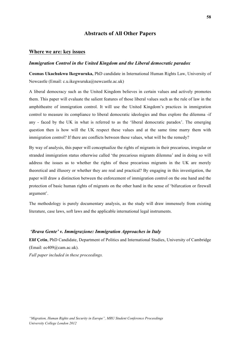## **Abstracts of All Other Papers**

## **Where we are: key issues**

#### *Immigration Control in the United Kingdom and the Liberal democratic paradox*

**Cosmas Ukachukwu Ikegwuruka,** PhD candidate in International Human Rights Law, University of Newcastle (Email: c.u.ikegwuruka@newcastle.ac.uk)

A liberal democracy such as the United Kingdom believes in certain values and actively promotes them. This paper will evaluate the salient features of those liberal values such as the rule of law in the amphitheatre of immigration control. It will use the United Kingdom's practices in immigration control to measure its compliance to liberal democratic ideologies and thus explore the dilemma -if any - faced by the UK in what is referred to as the 'liberal democratic paradox'. The emerging question then is how will the UK respect these values and at the same time marry them with immigration control? If there are conflicts between these values, what will be the remedy?

By way of analysis, this paper will conceptualize the rights of migrants in their precarious, irregular or stranded immigration status otherwise called 'the precarious migrants dilemma' and in doing so will address the issues as to whether the rights of these precarious migrants in the UK are merely theoretical and illusory or whether they are real and practical? By engaging in this investigation, the paper will draw a distinction between the enforcement of immigration control on the one hand and the protection of basic human rights of migrants on the other hand in the sense of 'bifurcation or firewall argument'.

The methodology is purely documentary analysis, as the study will draw immensely from existing literature, case laws, soft laws and the applicable international legal instruments.

## *'Brava Gente' v. Immigrazione: Immigration Approaches in Italy*

**Elif Çetin**, PhD Candidate, Department of Politics and International Studies, University of Cambridge (Email: ec409@cam.ac.uk).

*Full paper included in these proceedings.*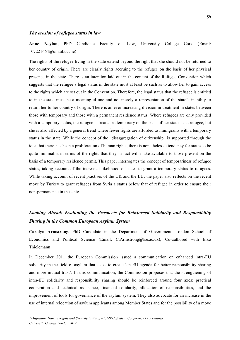#### *The erosion of refugee status in law*

**Anne Neylon,** PhD Candidate Faculty of Law, University College Cork (Email: 107221664@umail.ucc.ie)

The rights of the refugee living in the state extend beyond the right that she should not be returned to her country of origin. There are clearly rights accruing to the refugee on the basis of her physical presence in the state. There is an intention laid out in the content of the Refugee Convention which suggests that the refugee's legal status in the state must at least be such as to allow her to gain access to the rights which are set out in the Convention. Therefore, the legal status that the refugee is entitled to in the state must be a meaningful one and not merely a representation of the state's inability to return her to her country of origin. There is an ever increasing division in treatment in states between those with temporary and those with a permanent residence status. Where refugees are only provided with a temporary status, the refugee is treated as temporary on the basis of her status as a refugee, but she is also affected by a general trend where fewer rights are afforded to immigrants with a temporary status in the state. While the concept of the "disaggregation of citizenship" is supported through the idea that there has been a proliferation of human rights, there is nonetheless a tendency for states to be quite minimalist in terms of the rights that they in fact will make available to those present on the basis of a temporary residence permit. This paper interrogates the concept of temporariness of refugee status, taking account of the increased likelihood of states to grant a temporary status to refugees. While taking account of recent practises of the UK and the EU, the paper also reflects on the recent move by Turkey to grant refugees from Syria a status below that of refugee in order to ensure their non-permanence in the state.

## *Looking Ahead: Evaluating the Prospects for Reinforced Solidarity and Responsibility Sharing in the Common European Asylum System*

**Carolyn Armstrong,** PhD Candidate in the Department of Government, London School of Economics and Political Science (Email: C.Armstrong@lse.ac.uk); Co-authored with Eiko Thielemann

In December 2011 the European Commission issued a communication on enhanced intra-EU solidarity in the field of asylum that seeks to create 'an EU agenda for better responsibility sharing and more mutual trust'. In this communication, the Commission proposes that the strengthening of intra-EU solidarity and responsibility sharing should be reinforced around four axes: practical cooperation and technical assistance, financial solidarity, allocation of responsibilities, and the improvement of tools for governance of the asylum system. They also advocate for an increase in the use of internal relocation of asylum applicants among Member States and for the possibility of a move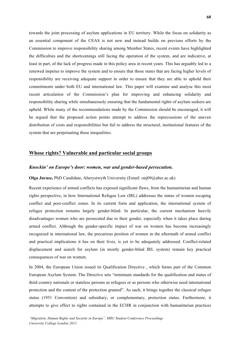towards the joint processing of asylum applications in EU territory. While the focus on solidarity as an essential component of the CEAS is not new and instead builds on previous efforts by the Commission to improve responsibility sharing among Member States, recent events have highlighted the difficulties and the shortcomings still facing the operation of the system, and are indicative, at least in part, of the lack of progress made in this policy area in recent years. This has arguably led to a renewed impetus to improve the system and to ensure that those states that are facing higher levels of responsibility are receiving adequate support in order to ensure that they are able to uphold their commitments under both EU and international law. This paper will examine and analyse this most recent articulation of the Commission's plan for improving and enhancing solidarity and responsibility sharing while simultaneously ensuring that the fundamental rights of asylum seekers are upheld. While many of the recommendations made by the Commission should be encouraged, it will be argued that the proposed action points attempt to address the repercussions of the uneven distribution of costs and responsibilities but fail to address the structural, institutional features of the system that are perpetuating these inequalities.

## **Whose rights? Vulnerable and particular social groups**

#### *Knockin' on Europe's door: women, war and gender-based persecution.*

#### **Olga Jurasz,** PhD Candidate, Aberystwyth University (Email: onj09@aber.ac.uk)

Recent experience of armed conflicts has exposed significant flaws, from the humanitarian and human rights perspective, in how International Refugee Law (IRL) addresses the status of women escaping conflict and post-conflict zones. In its current form and application, the international system of refugee protection remains largely gender-blind. In particular, the current mechanism heavily disadvantages women who are persecuted due to their gender, especially when it takes place during armed conflict. Although the gender-specific impact of war on women has become increasingly recognized in international law, the precarious position of women in the aftermath of armed conflict and practical implications it has on their lives, is yet to be adequately addressed. Conflict-related displacement and search for asylum (in mostly gender-blind IRL system) remain key practical consequences of war on women.

In 2004, the European Union issued its Qualification Directive , which forms part of the Common European Asylum System. The Directive sets "minimum standards for the qualification and status of third country nationals or stateless persons as refugees or as persons who otherwise need international protection and the content of the protection granted". As such, it brings together the classical refugee status (1951 Convention) and subsidiary, or complementary, protection status. Furthermore, it attempts to give effect to rights contained in the ECHR in conjunction with humanitarian practices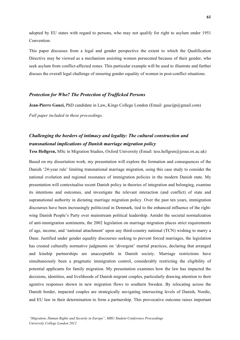adopted by EU states with regard to persons, who may not qualify for right to asylum under 1951 Convention.

This paper discusses from a legal and gender perspective the extent to which the Qualification Directive may be viewed as a mechanism assisting women persecuted because of their gender, who seek asylum from conflict-affected zones. This particular example will be used to illustrate and further discuss the overall legal challenge of ensuring gender equality of women in post-conflict situations.

## *Protection for Who? The Protection of Trafficked Persons*

**Jean-Pierre Gauci,** PhD candidate in Law**,** Kings College London (Email: gaucijp@gmail.com) *Full paper included in these proceedings.*

# *Challenging the borders of intimacy and legality: The cultural construction and transnational implications of Danish marriage migration policy*

**Tess Hellgren,** MSc in Migration Studies, Oxford University (Email: tess.hellgren@jesus.ox.ac.uk)

Based on my dissertation work, my presentation will explore the formation and consequences of the Danish '24-year rule' limiting transnational marriage migration, using this case study to consider the national evolution and regional resonance of immigration policies in the modern Danish state. My presentation will contextualise recent Danish policy in theories of integration and belonging, examine its intentions and outcomes, and investigate the relevant interaction (and conflict) of state and supranational authority in dictating marriage migration policy. Over the past ten years, immigration discourses have been increasingly politicized in Denmark, tied to the enhanced influence of the rightwing Danish People's Party over mainstream political leadership. Amidst the societal normalization of anti-immigration sentiments, the 2002 legislation on marriage migration places strict requirements of age, income, and 'national attachment' upon any third-country national (TCN) wishing to marry a Dane. Justified under gender equality discourses seeking to prevent forced marriages, the legislation has created culturally normative judgments on 'divergent' marital practices, declaring that arranged and kinship partnerships are unacceptable in Danish society. Marriage restrictions have simultaneously been a pragmatic immigration control, considerably restricting the eligibility of potential applicants for family migration. My presentation examines how the law has impacted the decisions, identities, and livelihoods of Danish migrant couples, particularly drawing attention to their agentive responses shown in new migration flows to southern Sweden. By relocating across the Danish border, impacted couples are strategically navigating intersecting levels of Danish, Nordic, and EU law in their determination to form a partnership. This provocative outcome raises important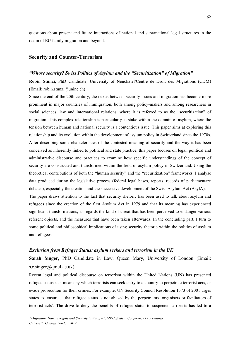questions about present and future interactions of national and supranational legal structures in the realm of EU family migration and beyond.

## **Security and Counter-Terrorism**

## *"Whose security? Swiss Politics of Asylum and the "Securitization" of Migration"*

**Robin Stünzi,** PhD Candidate, University of Neuchâtel/Centre de Droit des Migrations (CDM) (Email: robin.stunzi@unine.ch)

Since the end of the 20th century, the nexus between security issues and migration has become more prominent in major countries of immigration, both among policy-makers and among researchers in social sciences, law and international relations, where it is referred to as the "securitization" of migration. This complex relationship is particularly at stake within the domain of asylum, where the tension between human and national security is a contentious issue. This paper aims at exploring this relationship and its evolution within the development of asylum policy in Switzerland since the 1970s. After describing some characteristics of the contested meaning of security and the way it has been conceived as inherently linked to political and state practice, this paper focuses on legal, political and administrative discourse and practices to examine how specific understandings of the concept of security are constructed and transformed within the field of asylum policy in Switzerland. Using the theoretical contributions of both the "human security" and the "securitization" frameworks, I analyse data produced during the legislative process (federal legal bases, reports, records of parliamentary debates), especially the creation and the successive development of the Swiss Asylum Act (AsylA). The paper draws attention to the fact that security rhetoric has been used to talk about asylum and

refugees since the creation of the first Asylum Act in 1979 and that its meaning has experienced significant transformations, as regards the kind of threat that has been perceived to endanger various referent objects, and the measures that have been taken afterwards. In the concluding part, I turn to some political and philosophical implications of using security rhetoric within the politics of asylum and refugees.

## *Exclusion from Refugee Status: asylum seekers and terrorism in the UK*

**Sarah Singer,** PhD Candidate in Law, Queen Mary, University of London (Email:  $s.r.singer(\partial qmul.ac.uk)$ 

Recent legal and political discourse on terrorism within the United Nations (UN) has presented refugee status as a means by which terrorists can seek entry to a country to perpetrate terrorist acts, or evade prosecution for their crimes. For example, UN Security Council Resolution 1373 of 2001 urges states to 'ensure ... that refugee status is not abused by the perpetrators, organisers or facilitators of terrorist acts'. The drive to deny the benefits of refugee status to suspected terrorists has led to a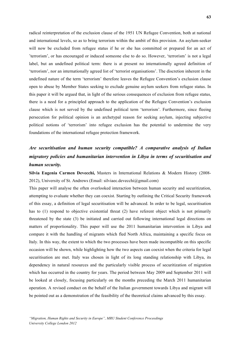radical reinterpretation of the exclusion clause of the 1951 UN Refugee Convention, both at national and international levels, so as to bring terrorism within the ambit of this provision. An asylum-seeker will now be excluded from refugee status if he or she has committed or prepared for an act of 'terrorism', or has encouraged or induced someone else to do so. However, 'terrorism' is not a legal label, but an undefined political term: there is at present no internationally agreed definition of 'terrorism', nor an internationally agreed list of 'terrorist organisations'. The discretion inherent in the undefined nature of the term 'terrorism' therefore leaves the Refugee Convention's exclusion clause open to abuse by Member States seeking to exclude genuine asylum seekers from refugee status. In this paper it will be argued that, in light of the serious consequences of exclusion from refugee status, there is a need for a principled approach to the application of the Refugee Convention's exclusion clause which is not served by the undefined political term 'terrorism'. Furthermore, since fleeing persecution for political opinion is an archetypal reason for seeking asylum, injecting subjective political notions of 'terrorism' into refugee exclusion has the potential to undermine the very foundations of the international refugee protection framework.

# *Are securitisation and human security compatible? A comparative analysis of Italian migratory policies and humanitarian intervention in Libya in terms of securitisation and human security.*

**Silvia Eugenia Carmen Devecchi,** Masters in International Relations & Modern History (2008- 2012), University of St. Andrews (Email: silviaec.devecchi@gmail.com)

This paper will analyse the often overlooked interaction between human security and securitization, attempting to evaluate whether they can coexist. Starting by outlining the Critical Security framework of this essay, a definition of legal securitisation will be advanced. In order to be legal, securitisation has to (1) respond to objective existential threat (2) have referent object which is not primarily threatened by the state (3) be initiated and carried out following international legal directions on matters of proportionality. This paper will use the 2011 humanitarian intervention in Libya and compare it with the handling of migrants which fled North Africa, maintaining a specific focus on Italy. In this way, the extent to which the two processes have been made incompatible on this specific occasion will be shown, while highlighting how the two aspects can coexist when the criteria for legal securitisation are met. Italy was chosen in light of its long standing relationship with Libya, its dependency in natural resources and the particularly visible process of securitization of migration which has occurred in the country for years. The period between May 2009 and September 2011 will be looked at closely, focusing particularly on the months preceding the March 2011 humanitarian operation. A revised conduct on the behalf of the Italian government towards Libya and migrant will be pointed out as a demonstration of the feasibility of the theoretical claims advanced by this essay.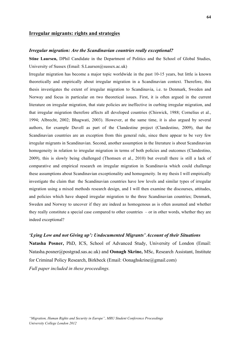## **Irregular migrants: rights and strategies**

#### *Irregular migration: Are the Scandinavian countries really exceptional?*

**Stine Laursen,** DPhil Candidate in the Department of Politics and the School of Global Studies, University of Sussex (Email:  $S.Laursen@sussex.ac.uk$ )

Irregular migration has become a major topic worldwide in the past 10-15 years, but little is known theoretically and empirically about irregular migration in a Scandinavian context. Therefore, this thesis investigates the extent of irregular migration to Scandinavia, i.e. to Denmark, Sweden and Norway and focus in particular on two theoretical issues. First, it is often argued in the current literature on irregular migration, that state policies are ineffective in curbing irregular migration, and that irregular migration therefore affects all developed countries (Chiswick, 1988; Cornelius et al., 1994; Albrecht, 2002; Bhagwati, 2003). However, at the same time, it is also argued by several authors, for example Duvell as part of the Clandestine project (Clandestino, 2009), that the Scandinavian countries are an exception from this general rule, since there appear to be very few irregular migrants in Scandinavian. Second, another assumption in the literature is about Scandinavian homogeneity in relation to irregular migration in terms of both policies and outcomes (Clandestino, 2009), this is slowly being challenged (Thomsen et al., 2010) but overall there is still a lack of comparative and empirical research on irregular migration in Scandinavia which could challenge these assumptions about Scandinavian exceptionality and homogeneity. In my thesis I will empirically investigate the claim that the Scandinavian countries have low levels and similar types of irregular migration using a mixed methods research design, and I will then examine the discourses, attitudes, and policies which have shaped irregular migration to the three Scandinavian countries; Denmark, Sweden and Norway to uncover if they are indeed as homogenous as is often assumed and whether they really constitute a special case compared to other countries – or in other words, whether they are indeed exceptional?

## *'Lying Low and not Giving up': Undocumented Migrants' Account of their Situations*

**Natasha Posner,** PhD, ICS, School of Advanced Study, University of London (Email: Natasha.posner@postgrad.sas.ac.uk) and **Oonagh Skrine,** MSc, Research Assistant, Institute for Criminal Policy Research, Birkbeck (Email: Oonaghskrine@gmail.com) *Full paper included in these proceedings.*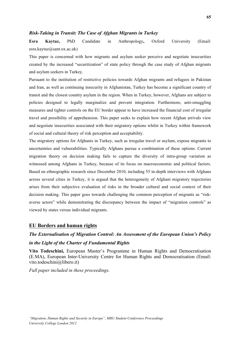## *Risk-Taking in Transit: The Case of Afghan Migrants in Turkey*

**Esra Kaytaz,** PhD Candidate in Anthropology**,** Oxford University (Email: esra.kaytaz@sant.ox.ac.uk)

This paper is concerned with how migrants and asylum seeker perceive and negotiate insecurities created by the increased "securitization" of state policy through the case study of Afghan migrants and asylum seekers in Turkey.

Pursuant to the institution of restrictive policies towards Afghan migrants and refugees in Pakistan and Iran, as well as continuing insecurity in Afghanistan, Turkey has become a significant country of transit and the closest country asylum in the region. When in Turkey, however, Afghans are subject to policies designed to legally marginalize and prevent integration. Furthermore, anti-smuggling measures and tighter controls on the EU border appear to have increased the financial cost of irregular travel and possibility of apprehension. This paper seeks to explain how recent Afghan arrivals view and negotiate insecurities associated with their migratory options whilst in Turkey within framework of social and cultural theory of risk perception and acceptability.

The migratory options for Afghanis in Turkey, such as irregular travel or asylum, expose migrants to uncertainties and vulnerabilities. Typically Afghans pursue a combination of these options. Current migration theory on decision making fails to capture the diversity of intra-group variation as witnessed among Afghans in Turkey, because of its focus on macroeconomic and political factors. Based on ethnographic research since December 2010, including 55 in-depth interviews with Afghans across several cities in Turkey, it is argued that the heterogeneity of Afghani migratory trajectories arises from their subjective evaluation of risks in the broader cultural and social context of their decision making. This paper goes towards challenging the common perception of migrants as "riskaverse actors" while demonstrating the discrepancy between the impact of "migration controls" as viewed by states versus individual migrants.

#### **EU Borders and human rights**

# *The Externalisation of Migration Control: An Assessment of the European Union's Policy in the Light of the Charter of Fundamental Rights*

**Vito Todeschini,** European Master's Programme in Human Rights and Democratisation (E.MA), European Inter-University Centre for Human Rights and Democratisation (Email: vito.todeschini@libero.it)

*Full paper included in these proceedings.*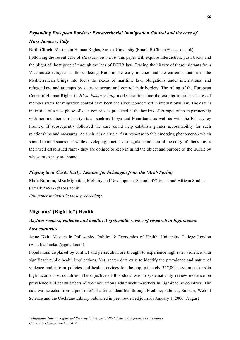# *Expanding European Borders: Extraterritorial Immigration Control and the case of Hirsi Jamaa v. Italy*

**Ruth Clinch,** Masters in Human Rights, Sussex University (Email: R.Clinch@sussex.ac.uk) Following the recent case of *Hirsi Jamaa v Italy* this paper will explore interdiction, push backs and the plight of 'boat people' through the lens of ECHR law. Tracing the history of these migrants from Vietnamese refugees to those fleeing Haiti in the early nineties and the current situation in the Mediterranean brings into focus the nexus of maritime law, obligations under international and refugee law, and attempts by states to secure and control their borders. The ruling of the European Court of Human Rights in *Hirsi Jamaa v Italy* marks the first time the extraterritorial measures of member states for migration control have been decisively condemned in international law. The case is indicative of a new phase of such controls as practiced at the borders of Europe, often in partnership with non-member third party states such as Libya and Mauritania as well as with the EU agency Frontex. If subsequently followed the case could help establish greater accountability for such relationships and measures. As such it is a crucial first response to this emerging phenomenon which should remind states that while developing practices to regulate and control the entry of aliens - as is their well established right - they are obliged to keep in mind the object and purpose of the ECHR by whose rules they are bound.

## *Playing their Cards Early: Lessons for Schengen from the 'Arab Spring'*

**Maia Rotman,** MSc Migration, Mobility and Development School of Oriental and African Studies **(**Email: 545772@soas.ac.uk) *Full paper included in these proceedings.*

## **Migrants' (Right to?) Health**

# *Asylum-seekers, violence and health: A systematic review of research in highincome host countries*

**Anne Kalt**, Masters in Philosophy, Politics & Economics of Health**,** University College London (Email: anniekalt@gmail.com)

Populations displaced by conflict and persecution are thought to experience high rates violence with significant public health implications. Yet, scarce data exist to identify the prevalence and nature of violence and inform policies and health services for the approximately 367,000 asylum-seekers in high-income host-countries. The objective of this study was to systematically review evidence on prevalence and health effects of violence among adult asylum-seekers in high-income countries. The data was selected from a pool of 5454 articles identified through Medline, Pubmed, Embase, Web of Science and the Cochrane Library published in peer-reviewed journals January 1, 2000- August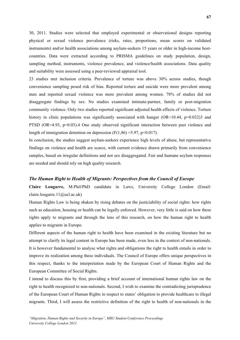30, 2011. Studies were selected that employed experimental or observational designs reporting physical or sexual violence prevalence (risks, rates, proportions, mean scores on validated instruments) and/or health associations among asylum-seekers 15 years or older in high-income hostcountries. Data were extracted according to PRISMA guidelines on study population, design, sampling method, instruments, violence prevalence, and violence/health associations. Data quality and suitability were assessed using a peer-reviewed appraisal tool.

23 studies met inclusion criteria. Prevalence of torture was above 30% across studies, though convenience sampling posed risk of bias. Reported torture and suicide were more prevalent among men and reported sexual violence was more prevalent among women. 78% of studies did not disaggregate findings by sex. No studies examined intimate-partner, family or post-migration community violence. Only two studies reported significant adjusted health effects of violence. Torture history in clinic populations was significantly associated with hunger  $(OR=10.44, p=0.032)$  and PTSD (OR=4.93, p=0.03).4 One study observed significant interaction between past violence and length of immigration detention on depression  $(F(1,86) = 5.97, p=0.017)$ .

In conclusion, the studies suggest asylum-seekers experience high levels of abuse, but representative findings on violence and health are scarce, with current evidence drawn primarily from convenience samples, based on irregular definitions and not sex disaggregated. Fair and humane asylum responses are needed and should rely on high quality research.

#### *The Human Right to Health of Migrants: Perspectives from the Council of Europe*

**Claire Lougarre,** M.Phil/PhD candidate in Laws, University College London (Email: claire.lougarre.11@ucl.ac.uk)

Human Rights Law is being shaken by rising debates on the justiciability of social rights: how rights such as education, housing or health can be legally enforced. However, very little is said on how these rights apply to migrants and through the lens of this research, on how the human right to health applies to migrants in Europe.

Different aspects of the human right to health have been examined in the existing literature but no attempt to clarify its legal content in Europe has been made, even less in the context of non-nationals. It is however fundamental to analyse what rights and obligations the right to health entails in order to improve its realization among these individuals. The Council of Europe offers unique perspectives in this respect, thanks to the interpretation made by the European Court of Human Rights and the European Committee of Social Rights.

I intend to discuss this by first, providing a brief account of international human rights law on the right to health recognized to non-nationals. Second, I wish to examine the contradicting jurisprudence of the European Court of Human Rights in respect to states' obligation to provide healthcare to illegal migrants. Third, I will assess the restrictive definition of the right to health of non-nationals in the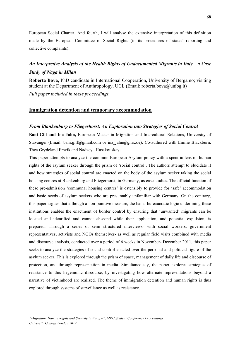European Social Charter. And fourth, I will analyse the extensive interpretation of this definition made by the European Committee of Social Rights (in its procedures of states' reporting and collective complaints).

## *An Interpretive Analysis of the Health Rights of Undocumented Migrants in Italy – a Case Study of Naga in Milan*

**Roberta Bova,** PhD candidate in International Cooperation, University of Bergamo; visiting student at the Department of Anthropology, UCL **(**Email: roberta.bova@unibg.it)

*Full paper included in these proceedings.*

## **Immigration detention and temporary accommodation**

#### *From Blankenburg to Fliegerhorst: An Exploration into Strategies of Social Control*

**Bani Gill and Ina Jahn,** European Master in Migration and Intercultural Relations, University of Stavanger (Email: bani.gill@gmail.com or ina\_jahn@gmx.de); Co-authored with Emilie Blackburn, Thea Grydeland Ersvik and Nadzeya Husakouskaya

This paper attempts to analyze the common European Asylum policy with a specific lens on human rights of the asylum seeker through the prism of 'social control'. The authors attempt to elucidate if and how strategies of social control are enacted on the body of the asylum seeker taking the social housing centres at Blankenburg and Fliegerhorst, in Germany, as case studies. The official function of these pre-admission 'communal housing centres' is ostensibly to provide for 'safe' accommodation and basic needs of asylum seekers who are presumably unfamiliar with Germany. On the contrary, this paper argues that although a non-punitive measure, the banal bureaucratic logic underlining these institutions enables the enactment of border control by ensuring that 'unwanted' migrants can be located and identified and cannot abscond while their application, and potential expulsion, is prepared. Through a series of semi structured interviews- with social workers, government representatives, activists and NGOs themselves- as well as regular field visits combined with media and discourse analysis, conducted over a period of 6 weeks in November- December 2011, this paper seeks to analyze the strategies of social control enacted over the personal and political figure of the asylum seeker. This is explored through the prism of space, management of daily life and discourse of protection, and through representation in media. Simultaneously, the paper explores strategies of resistance to this hegemonic discourse, by investigating how alternate representations beyond a narrative of victimhood are realized. The theme of immigration detention and human rights is thus explored through systems of surveillance as well as resistance.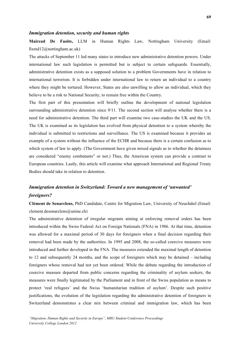## *Immigration detention, security and human rights*

**Mairead De Faoite,** LLM in Human Rights Law, Nottingham University (Email: llxmd12@nottingham.ac.uk)

The attacks of September 11 led many states to introduce new administrative detention powers. Under international law such legislation is permitted but is subject to certain safeguards. Essentially, administrative detention exists as a supposed solution to a problem Governments have in relation to international terrorism. It is forbidden under international law to return an individual to a country where they might be tortured. However, States are also unwilling to allow an individual, which they believe to be a risk to National Security, to remain free within the Country.

The first part of this presentation will briefly outline the development of national legislation surrounding administrative detention since 9/11. The second section will analyse whether there is a need for administrative detention. The third part will examine two case-studies the UK and the US. The UK is examined as its legislation has evolved from physical detention to a system whereby the individual is submitted to restrictions and surveillance. The US is examined because it provides an example of a system without the influence of the ECHR and because there is a certain confusion as to which system of law to apply. (The Government have given mixed signals as to whether the detainees are considered "enemy combatants" or not.) Thus, the American system can provide a contrast to European countries. Lastly, this article will examine what approach International and Regional Treaty Bodies should take in relation to detention.

## *Immigration detention in Switzerland: Toward a new management of 'unwanted' foreigners?*

**Clément de Senarclens,** PhD Candidate, Centre for Migration Law, University of Neuchâtel (Email: clement.desenarclens@unine.ch)

The administrative detention of irregular migrants aiming at enforcing removal orders has been introduced within the Swiss Federal Act on Foreign Nationals (FNA) in 1986. At that time, detention was allowed for a maximal period of 30 days for foreigners when a final decision regarding their removal had been made by the authorities. In 1995 and 2008, the so-called coercive measures were introduced and further developed in the FNA. The measures extended the maximal length of detention to 12 and subsequently 24 months, and the scope of foreigners which may be detained – including foreigners whose removal had not yet been ordered. While the debate regarding the introduction of coercive measure departed from public concerns regarding the criminality of asylum seekers, the measures were finally legitimated by the Parliament and in front of the Swiss population as means to protect 'real refugees' and the Swiss 'humanitarian tradition of asylum'. Despite such positive justifications, the evolution of the legislation regarding the administrative detention of foreigners in Switzerland demonstrates a clear mix between criminal and immigration law, which has been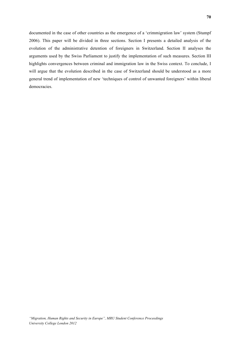documented in the case of other countries as the emergence of a 'crimmigration law' system (Stumpf 2006). This paper will be divided in three sections. Section I presents a detailed analysis of the evolution of the administrative detention of foreigners in Switzerland. Section II analyses the arguments used by the Swiss Parliament to justify the implementation of such measures. Section III highlights convergences between criminal and immigration law in the Swiss context. To conclude, I will argue that the evolution described in the case of Switzerland should be understood as a more general trend of implementation of new 'techniques of control of unwanted foreigners' within liberal democracies.